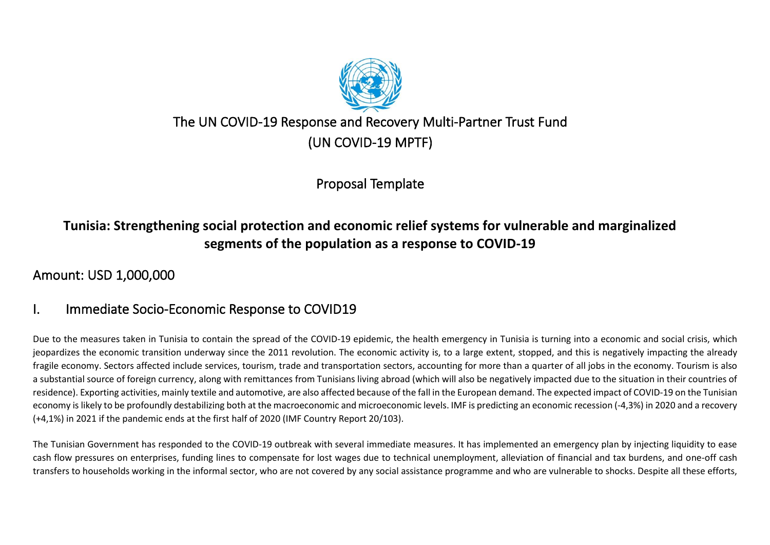

# The UN COVID-19 Response and Recovery Multi-Partner Trust Fund (UN COVID-19 MPTF)

Proposal Template

# **Tunisia: Strengthening social protection and economic relief systems for vulnerable and marginalized segments of the population as a response to COVID-19**

# Amount: USD 1,000,000

# I. Immediate Socio-Economic Response to COVID19

Due to the measures taken in Tunisia to contain the spread of the COVID-19 epidemic, the health emergency in Tunisia is turning into a economic and social crisis, which jeopardizes the economic transition underway since the 2011 revolution. The economic activity is, to a large extent, stopped, and this is negatively impacting the already fragile economy. Sectors affected include services, tourism, trade and transportation sectors, accounting for more than a quarter of all jobs in the economy. Tourism is also a substantial source of foreign currency, along with remittances from Tunisians living abroad (which will also be negatively impacted due to the situation in their countries of residence). Exporting activities, mainly textile and automotive, are also affected because of the fall in the European demand. The expected impact of COVID-19 on the Tunisian economy is likely to be profoundly destabilizing both at the macroeconomic and microeconomic levels. IMF is predicting an economic recession (-4,3%) in 2020 and a recovery (+4,1%) in 2021 if the pandemic ends at the first half of 2020 (IMF Country Report 20/103).

The Tunisian Government has responded to the COVID-19 outbreak with several immediate measures. It has implemented an emergency plan by injecting liquidity to ease cash flow pressures on enterprises, funding lines to compensate for lost wages due to technical unemployment, alleviation of financial and tax burdens, and one-off cash transfers to households working in the informal sector, who are not covered by any social assistance programme and who are vulnerable to shocks. Despite all these efforts,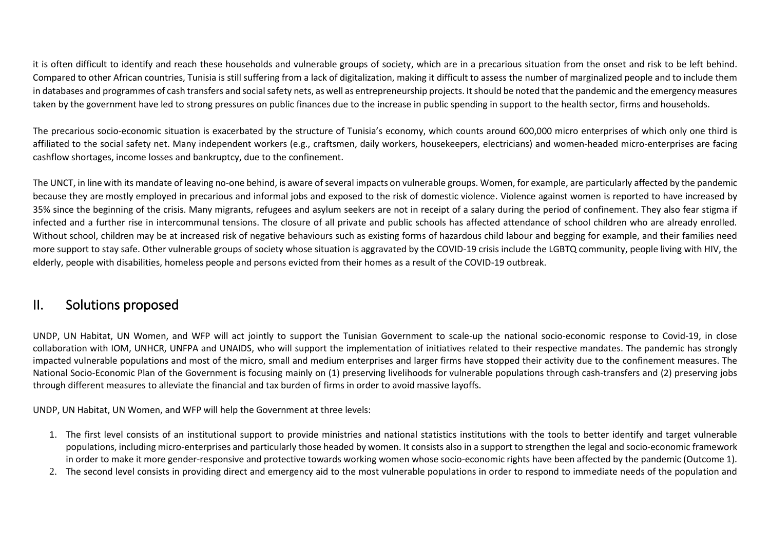it is often difficult to identify and reach these households and vulnerable groups of society, which are in a precarious situation from the onset and risk to be left behind. Compared to other African countries, Tunisia is still suffering from a lack of digitalization, making it difficult to assess the number of marginalized people and to include them in databases and programmes of cash transfers and social safety nets, as well as entrepreneurship projects. It should be noted that the pandemic and the emergency measures taken by the government have led to strong pressures on public finances due to the increase in public spending in support to the health sector, firms and households.

The precarious socio-economic situation is exacerbated by the structure of Tunisia's economy, which counts around 600,000 micro enterprises of which only one third is affiliated to the social safety net. Many independent workers (e.g., craftsmen, daily workers, housekeepers, electricians) and women-headed micro-enterprises are facing cashflow shortages, income losses and bankruptcy, due to the confinement.

The UNCT, in line with its mandate of leaving no-one behind, is aware of several impacts on vulnerable groups. Women, for example, are particularly affected by the pandemic because they are mostly employed in precarious and informal jobs and exposed to the risk of domestic violence. Violence against women is reported to have increased by 35% since the beginning of the crisis. Many migrants, refugees and asylum seekers are not in receipt of a salary during the period of confinement. They also fear stigma if infected and a further rise in intercommunal tensions. The closure of all private and public schools has affected attendance of school children who are already enrolled. Without school, children may be at increased risk of negative behaviours such as existing forms of hazardous child labour and begging for example, and their families need more support to stay safe. Other vulnerable groups of society whose situation is aggravated by the COVID-19 crisis include the LGBTQ community, people living with HIV, the elderly, people with disabilities, homeless people and persons evicted from their homes as a result of the COVID-19 outbreak.

### II. Solutions proposed

UNDP, UN Habitat, UN Women, and WFP will act jointly to support the Tunisian Government to scale-up the national socio-economic response to Covid-19, in close collaboration with IOM, UNHCR, UNFPA and UNAIDS, who will support the implementation of initiatives related to their respective mandates. The pandemic has strongly impacted vulnerable populations and most of the micro, small and medium enterprises and larger firms have stopped their activity due to the confinement measures. The National Socio-Economic Plan of the Government is focusing mainly on (1) preserving livelihoods for vulnerable populations through cash-transfers and (2) preserving jobs through different measures to alleviate the financial and tax burden of firms in order to avoid massive layoffs.

UNDP, UN Habitat, UN Women, and WFP will help the Government at three levels:

- 1. The first level consists of an institutional support to provide ministries and national statistics institutions with the tools to better identify and target vulnerable populations, including micro-enterprises and particularly those headed by women. It consists also in a support to strengthen the legal and socio-economic framework in order to make it more gender-responsive and protective towards working women whose socio-economic rights have been affected by the pandemic (Outcome 1).
- 2. The second level consists in providing direct and emergency aid to the most vulnerable populations in order to respond to immediate needs of the population and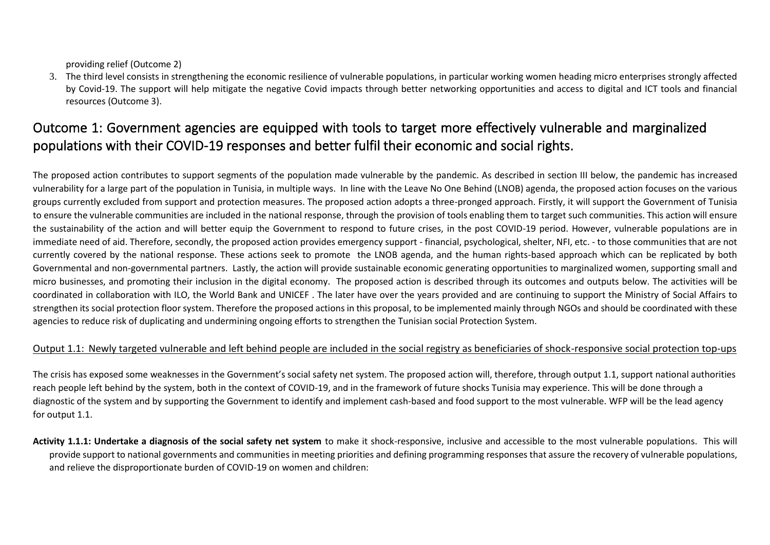providing relief (Outcome 2)

3. The third level consists in strengthening the economic resilience of vulnerable populations, in particular working women heading micro enterprises strongly affected by Covid-19. The support will help mitigate the negative Covid impacts through better networking opportunities and access to digital and ICT tools and financial resources (Outcome 3).

# Outcome 1: Government agencies are equipped with tools to target more effectively vulnerable and marginalized populations with their COVID-19 responses and better fulfil their economic and social rights.

The proposed action contributes to support segments of the population made vulnerable by the pandemic. As described in section III below, the pandemic has increased vulnerability for a large part of the population in Tunisia, in multiple ways. In line with the Leave No One Behind (LNOB) agenda, the proposed action focuses on the various groups currently excluded from support and protection measures. The proposed action adopts a three-pronged approach. Firstly, it will support the Government of Tunisia to ensure the vulnerable communities are included in the national response, through the provision of tools enabling them to target such communities. This action will ensure the sustainability of the action and will better equip the Government to respond to future crises, in the post COVID-19 period. However, vulnerable populations are in immediate need of aid. Therefore, secondly, the proposed action provides emergency support - financial, psychological, shelter, NFI, etc. - to those communities that are not currently covered by the national response. These actions seek to promote the LNOB agenda, and the human rights-based approach which can be replicated by both Governmental and non-governmental partners. Lastly, the action will provide sustainable economic generating opportunities to marginalized women, supporting small and micro businesses, and promoting their inclusion in the digital economy. The proposed action is described through its outcomes and outputs below. The activities will be coordinated in collaboration with ILO, the World Bank and UNICEF . The later have over the years provided and are continuing to support the Ministry of Social Affairs to strengthen its social protection floor system. Therefore the proposed actions in this proposal, to be implemented mainly through NGOs and should be coordinated with these agencies to reduce risk of duplicating and undermining ongoing efforts to strengthen the Tunisian social Protection System.

#### Output 1.1: Newly targeted vulnerable and left behind people are included in the social registry as beneficiaries of shock-responsive social protection top-ups

The crisis has exposed some weaknesses in the Government's social safety net system. The proposed action will, therefore, through output 1.1, support national authorities reach people left behind by the system, both in the context of COVID-19, and in the framework of future shocks Tunisia may experience. This will be done through a diagnostic of the system and by supporting the Government to identify and implement cash-based and food support to the most vulnerable. WFP will be the lead agency for output 1.1.

**Activity 1.1.1: Undertake a diagnosis of the social safety net system** to make it shock-responsive, inclusive and accessible to the most vulnerable populations. This will provide support to national governments and communities in meeting priorities and defining programming responses that assure the recovery of vulnerable populations, and relieve the disproportionate burden of COVID-19 on women and children: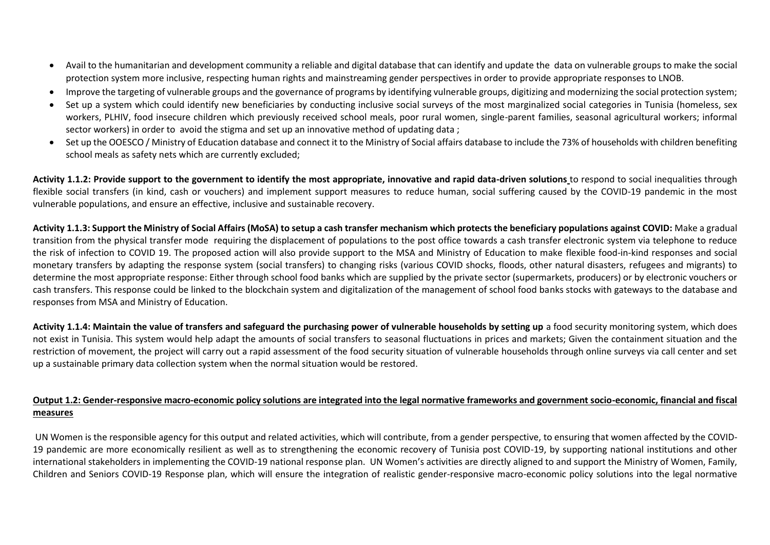- Avail to the humanitarian and development community a reliable and digital database that can identify and update the data on vulnerable groups to make the social protection system more inclusive, respecting human rights and mainstreaming gender perspectives in order to provide appropriate responses to LNOB.
- Improve the targeting of vulnerable groups and the governance of programs by identifying vulnerable groups, digitizing and modernizing the social protection system;
- Set up a system which could identify new beneficiaries by conducting inclusive social surveys of the most marginalized social categories in Tunisia (homeless, sex workers, PLHIV, food insecure children which previously received school meals, poor rural women, single-parent families, seasonal agricultural workers; informal sector workers) in order to avoid the stigma and set up an innovative method of updating data ;
- Set up the OOESCO / Ministry of Education database and connect it to the Ministry of Social affairs database to include the 73% of households with children benefiting school meals as safety nets which are currently excluded;

**Activity 1.1.2: Provide support to the government to identify the most appropriate, innovative and rapid data-driven solutions** to respond to social inequalities through flexible social transfers (in kind, cash or vouchers) and implement support measures to reduce human, social suffering caused by the COVID-19 pandemic in the most vulnerable populations, and ensure an effective, inclusive and sustainable recovery.

**Activity 1.1.3: Support the Ministry of Social Affairs (MoSA) to setup a cash transfer mechanism which protects the beneficiary populations against COVID:** Make a gradual transition from the physical transfer mode requiring the displacement of populations to the post office towards a cash transfer electronic system via telephone to reduce the risk of infection to COVID 19. The proposed action will also provide support to the MSA and Ministry of Education to make flexible food-in-kind responses and social monetary transfers by adapting the response system (social transfers) to changing risks (various COVID shocks, floods, other natural disasters, refugees and migrants) to determine the most appropriate response: Either through school food banks which are supplied by the private sector (supermarkets, producers) or by electronic vouchers or cash transfers. This response could be linked to the blockchain system and digitalization of the management of school food banks stocks with gateways to the database and responses from MSA and Ministry of Education.

**Activity 1.1.4: Maintain the value of transfers and safeguard the purchasing power of vulnerable households by setting up** a food security monitoring system, which does not exist in Tunisia. This system would help adapt the amounts of social transfers to seasonal fluctuations in prices and markets; Given the containment situation and the restriction of movement, the project will carry out a rapid assessment of the food security situation of vulnerable households through online surveys via call center and set up a sustainable primary data collection system when the normal situation would be restored.

#### **Output 1.2: Gender-responsive macro-economic policy solutions are integrated into the legal normative frameworks and government socio-economic, financial and fiscal measures**

UN Women is the responsible agency for this output and related activities, which will contribute, from a gender perspective, to ensuring that women affected by the COVID-19 pandemic are more economically resilient as well as to strengthening the economic recovery of Tunisia post COVID-19, by supporting national institutions and other international stakeholders in implementing the COVID-19 national response plan. UN Women's activities are directly aligned to and support the Ministry of Women, Family, Children and Seniors COVID-19 Response plan, which will ensure the integration of realistic gender-responsive macro-economic policy solutions into the legal normative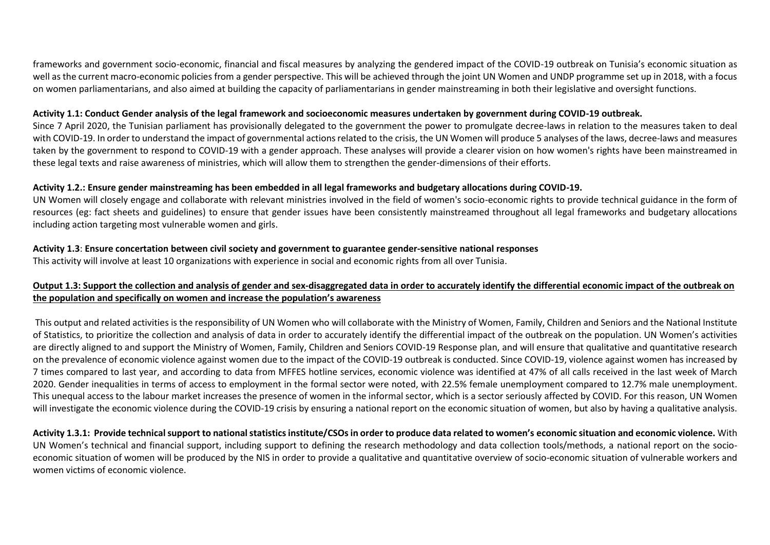frameworks and government socio-economic, financial and fiscal measures by analyzing the gendered impact of the COVID-19 outbreak on Tunisia's economic situation as well as the current macro-economic policies from a gender perspective. This will be achieved through the joint UN Women and UNDP programme set up in 2018, with a focus on women parliamentarians, and also aimed at building the capacity of parliamentarians in gender mainstreaming in both their legislative and oversight functions.

#### **Activity 1.1: Conduct Gender analysis of the legal framework and socioeconomic measures undertaken by government during COVID-19 outbreak.**

Since 7 April 2020, the Tunisian parliament has provisionally delegated to the government the power to promulgate decree-laws in relation to the measures taken to deal with COVID-19. In order to understand the impact of governmental actions related to the crisis, the UN Women will produce 5 analyses of the laws, decree-laws and measures taken by the government to respond to COVID-19 with a gender approach. These analyses will provide a clearer vision on how women's rights have been mainstreamed in these legal texts and raise awareness of ministries, which will allow them to strengthen the gender-dimensions of their efforts.

#### **Activity 1.2.: Ensure gender mainstreaming has been embedded in all legal frameworks and budgetary allocations during COVID-19.**

UN Women will closely engage and collaborate with relevant ministries involved in the field of women's socio-economic rights to provide technical guidance in the form of resources (eg: fact sheets and guidelines) to ensure that gender issues have been consistently mainstreamed throughout all legal frameworks and budgetary allocations including action targeting most vulnerable women and girls.

#### **Activity 1.3**: **Ensure concertation between civil society and government to guarantee gender-sensitive national responses**

This activity will involve at least 10 organizations with experience in social and economic rights from all over Tunisia.

#### **Output 1.3: Support the collection and analysis of gender and sex-disaggregated data in order to accurately identify the differential economic impact of the outbreak on the population and specifically on women and increase the population's awareness**

This output and related activities is the responsibility of UN Women who will collaborate with the Ministry of Women, Family, Children and Seniors and the National Institute of Statistics, to prioritize the collection and analysis of data in order to accurately identify the differential impact of the outbreak on the population. UN Women's activities are directly aligned to and support the Ministry of Women, Family, Children and Seniors COVID-19 Response plan, and will ensure that qualitative and quantitative research on the prevalence of economic violence against women due to the impact of the COVID-19 outbreak is conducted. Since COVID-19, violence against women has increased by 7 times compared to last year, and according to data from MFFES hotline services, economic violence was identified at 47% of all calls received in the last week of March 2020. Gender inequalities in terms of access to employment in the formal sector were noted, with 22.5% female unemployment compared to 12.7% male unemployment. This unequal access to the labour market increases the presence of women in the informal sector, which is a sector seriously affected by COVID. For this reason, UN Women will investigate the economic violence during the COVID-19 crisis by ensuring a national report on the economic situation of women, but also by having a qualitative analysis.

**Activity 1.3.1: Provide technical support to national statistics institute/CSOs in order to produce data related to women's economic situation and economic violence.** With UN Women's technical and financial support, including support to defining the research methodology and data collection tools/methods, a national report on the socioeconomic situation of women will be produced by the NIS in order to provide a qualitative and quantitative overview of socio-economic situation of vulnerable workers and women victims of economic violence.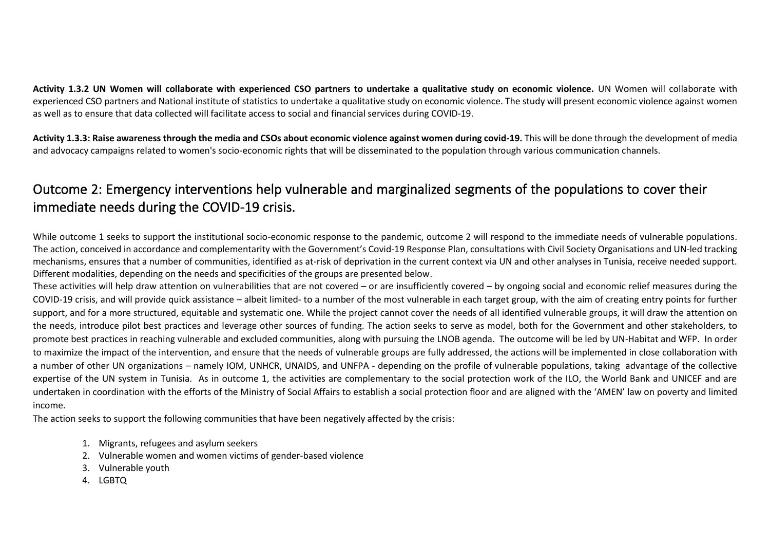**Activity 1.3.2 UN Women will collaborate with experienced CSO partners to undertake a qualitative study on economic violence.** UN Women will collaborate with experienced CSO partners and National institute of statistics to undertake a qualitative study on economic violence. The study will present economic violence against women as well as to ensure that data collected will facilitate access to social and financial services during COVID-19.

**Activity 1.3.3: Raise awareness through the media and CSOs about economic violence against women during covid-19.** This will be done through the development of media and advocacy campaigns related to women's socio-economic rights that will be disseminated to the population through various communication channels.

# Outcome 2: Emergency interventions help vulnerable and marginalized segments of the populations to cover their immediate needs during the COVID-19 crisis.

While outcome 1 seeks to support the institutional socio-economic response to the pandemic, outcome 2 will respond to the immediate needs of vulnerable populations. The action, conceived in accordance and complementarity with the Government's Covid-19 Response Plan, consultations with Civil Society Organisations and UN-led tracking mechanisms, ensures that a number of communities, identified as at-risk of deprivation in the current context via UN and other analyses in Tunisia, receive needed support. Different modalities, depending on the needs and specificities of the groups are presented below.

These activities will help draw attention on vulnerabilities that are not covered – or are insufficiently covered – by ongoing social and economic relief measures during the COVID-19 crisis, and will provide quick assistance – albeit limited- to a number of the most vulnerable in each target group, with the aim of creating entry points for further support, and for a more structured, equitable and systematic one. While the project cannot cover the needs of all identified vulnerable groups, it will draw the attention on the needs, introduce pilot best practices and leverage other sources of funding. The action seeks to serve as model, both for the Government and other stakeholders, to promote best practices in reaching vulnerable and excluded communities, along with pursuing the LNOB agenda. The outcome will be led by UN-Habitat and WFP. In order to maximize the impact of the intervention, and ensure that the needs of vulnerable groups are fully addressed, the actions will be implemented in close collaboration with a number of other UN organizations – namely IOM, UNHCR, UNAIDS, and UNFPA - depending on the profile of vulnerable populations, taking advantage of the collective expertise of the UN system in Tunisia. As in outcome 1, the activities are complementary to the social protection work of the ILO, the World Bank and UNICEF and are undertaken in coordination with the efforts of the Ministry of Social Affairs to establish a social protection floor and are aligned with the 'AMEN' law on poverty and limited income.

The action seeks to support the following communities that have been negatively affected by the crisis:

- 1. Migrants, refugees and asylum seekers
- 2. Vulnerable women and women victims of gender-based violence
- 3. Vulnerable youth
- 4. LGBTQ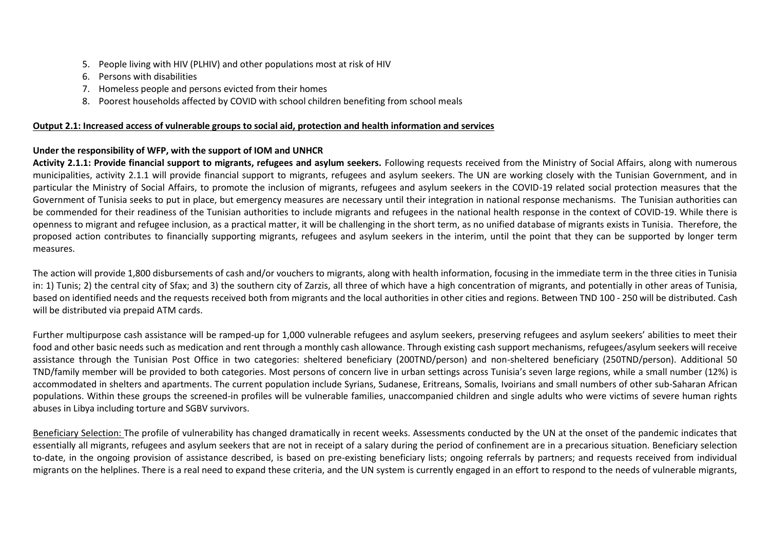- 5. People living with HIV (PLHIV) and other populations most at risk of HIV
- 6. Persons with disabilities
- 7. Homeless people and persons evicted from their homes
- 8. Poorest households affected by COVID with school children benefiting from school meals

#### **Output 2.1: Increased access of vulnerable groups to social aid, protection and health information and services**

#### **Under the responsibility of WFP, with the support of IOM and UNHCR**

**Activity 2.1.1: Provide financial support to migrants, refugees and asylum seekers.** Following requests received from the Ministry of Social Affairs, along with numerous municipalities, activity 2.1.1 will provide financial support to migrants, refugees and asylum seekers. The UN are working closely with the Tunisian Government, and in particular the Ministry of Social Affairs, to promote the inclusion of migrants, refugees and asylum seekers in the COVID-19 related social protection measures that the Government of Tunisia seeks to put in place, but emergency measures are necessary until their integration in national response mechanisms. The Tunisian authorities can be commended for their readiness of the Tunisian authorities to include migrants and refugees in the national health response in the context of COVID-19. While there is openness to migrant and refugee inclusion, as a practical matter, it will be challenging in the short term, as no unified database of migrants exists in Tunisia. Therefore, the proposed action contributes to financially supporting migrants, refugees and asylum seekers in the interim, until the point that they can be supported by longer term measures.

The action will provide 1,800 disbursements of cash and/or vouchers to migrants, along with health information, focusing in the immediate term in the three cities in Tunisia in: 1) Tunis; 2) the central city of Sfax; and 3) the southern city of Zarzis, all three of which have a high concentration of migrants, and potentially in other areas of Tunisia, based on identified needs and the requests received both from migrants and the local authorities in other cities and regions. Between TND 100 - 250 will be distributed. Cash will be distributed via prepaid ATM cards.

Further multipurpose cash assistance will be ramped-up for 1,000 vulnerable refugees and asylum seekers, preserving refugees and asylum seekers' abilities to meet their food and other basic needs such as medication and rent through a monthly cash allowance. Through existing cash support mechanisms, refugees/asylum seekers will receive assistance through the Tunisian Post Office in two categories: sheltered beneficiary (200TND/person) and non-sheltered beneficiary (250TND/person). Additional 50 TND/family member will be provided to both categories. Most persons of concern live in urban settings across Tunisia's seven large regions, while a small number (12%) is accommodated in shelters and apartments. The current population include Syrians, Sudanese, Eritreans, Somalis, Ivoirians and small numbers of other sub-Saharan African populations. Within these groups the screened-in profiles will be vulnerable families, unaccompanied children and single adults who were victims of severe human rights abuses in Libya including torture and SGBV survivors.

Beneficiary Selection: The profile of vulnerability has changed dramatically in recent weeks. Assessments conducted by the UN at the onset of the pandemic indicates that essentially all migrants, refugees and asylum seekers that are not in receipt of a salary during the period of confinement are in a precarious situation. Beneficiary selection to-date, in the ongoing provision of assistance described, is based on pre-existing beneficiary lists; ongoing referrals by partners; and requests received from individual migrants on the helplines. There is a real need to expand these criteria, and the UN system is currently engaged in an effort to respond to the needs of vulnerable migrants,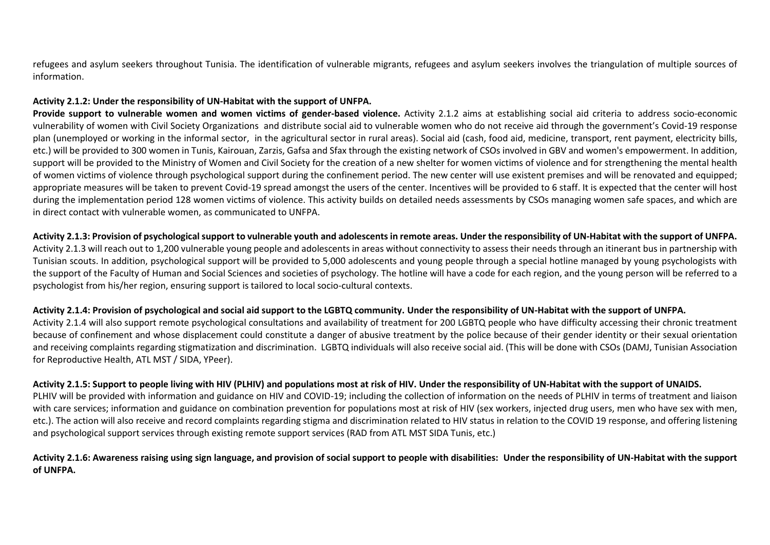refugees and asylum seekers throughout Tunisia. The identification of vulnerable migrants, refugees and asylum seekers involves the triangulation of multiple sources of information.

#### **Activity 2.1.2: Under the responsibility of UN-Habitat with the support of UNFPA.**

**Provide support to vulnerable women and women victims of gender-based violence.** Activity 2.1.2 aims at establishing social aid criteria to address socio-economic vulnerability of women with Civil Society Organizations and distribute social aid to vulnerable women who do not receive aid through the government's Covid-19 response plan (unemployed or working in the informal sector, in the agricultural sector in rural areas). Social aid (cash, food aid, medicine, transport, rent payment, electricity bills, etc.) will be provided to 300 women in Tunis, Kairouan, Zarzis, Gafsa and Sfax through the existing network of CSOs involved in GBV and women's empowerment. In addition, support will be provided to the Ministry of Women and Civil Society for the creation of a new shelter for women victims of violence and for strengthening the mental health of women victims of violence through psychological support during the confinement period. The new center will use existent premises and will be renovated and equipped; appropriate measures will be taken to prevent Covid-19 spread amongst the users of the center. Incentives will be provided to 6 staff. It is expected that the center will host during the implementation period 128 women victims of violence. This activity builds on detailed needs assessments by CSOs managing women safe spaces, and which are in direct contact with vulnerable women, as communicated to UNFPA.

#### **Activity 2.1.3: Provision of psychological support to vulnerable youth and adolescents in remote areas. Under the responsibility of UN-Habitat with the support of UNFPA.**

Activity 2.1.3 will reach out to 1,200 vulnerable young people and adolescents in areas without connectivity to assess their needs through an itinerant bus in partnership with Tunisian scouts. In addition, psychological support will be provided to 5,000 adolescents and young people through a special hotline managed by young psychologists with the support of the Faculty of Human and Social Sciences and societies of psychology. The hotline will have a code for each region, and the young person will be referred to a psychologist from his/her region, ensuring support is tailored to local socio-cultural contexts.

#### **Activity 2.1.4: Provision of psychological and social aid support to the LGBTQ community. Under the responsibility of UN-Habitat with the support of UNFPA.**

Activity 2.1.4 will also support remote psychological consultations and availability of treatment for 200 LGBTQ people who have difficulty accessing their chronic treatment because of confinement and whose displacement could constitute a danger of abusive treatment by the police because of their gender identity or their sexual orientation and receiving complaints regarding stigmatization and discrimination. LGBTQ individuals will also receive social aid. (This will be done with CSOs (DAMJ, Tunisian Association for Reproductive Health, ATL MST / SIDA, YPeer).

#### **Activity 2.1.5: Support to people living with HIV (PLHIV) and populations most at risk of HIV. Under the responsibility of UN-Habitat with the support of UNAIDS.**

PLHIV will be provided with information and guidance on HIV and COVID-19: including the collection of information on the needs of PLHIV in terms of treatment and liaison with care services; information and guidance on combination prevention for populations most at risk of HIV (sex workers, injected drug users, men who have sex with men, etc.). The action will also receive and record complaints regarding stigma and discrimination related to HIV status in relation to the COVID 19 response, and offering listening and psychological support services through existing remote support services (RAD from ATL MST SIDA Tunis, etc.)

#### **Activity 2.1.6: Awareness raising using sign language, and provision of social support to people with disabilities: Under the responsibility of UN-Habitat with the support of UNFPA.**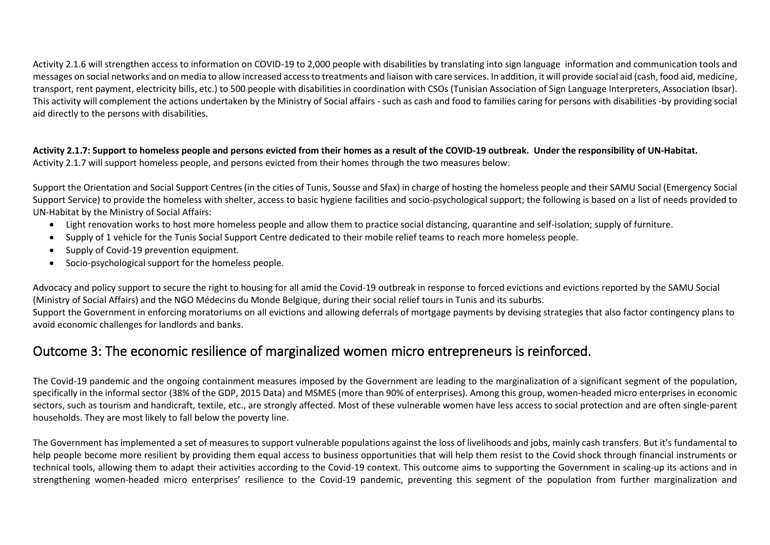Activity 2.1.6 will strengthen access to information on COVID-19 to 2,000 people with disabilities by translating into sign language information and communication tools and messages on social networks and on media to allow increased access to treatments and liaison with care services. In addition, it will provide social aid (cash, food aid, medicine, transport, rent payment, electricity bills, etc.) to 500 people with disabilities in coordination with CSOs (Tunisian Association of Sign Language Interpreters, Association Ibsar). This activity will complement the actions undertaken by the Ministry of Social affairs - such as cash and food to families caring for persons with disabilities -by providing social aid directly to the persons with disabilities.

**Activity 2.1.7: Support to homeless people and persons evicted from their homes as a result of the COVID-19 outbreak. Under the responsibility of UN-Habitat.** Activity 2.1.7 will support homeless people, and persons evicted from their homes through the two measures below:

Support the Orientation and Social Support Centres (in the cities of Tunis, Sousse and Sfax) in charge of hosting the homeless people and their SAMU Social (Emergency Social Support Service) to provide the homeless with shelter, access to basic hygiene facilities and socio-psychological support; the following is based on a list of needs provided to UN-Habitat by the Ministry of Social Affairs:

- Light renovation works to host more homeless people and allow them to practice social distancing, quarantine and self-isolation; supply of furniture.
- Supply of 1 vehicle for the Tunis Social Support Centre dedicated to their mobile relief teams to reach more homeless people.
- Supply of Covid-19 prevention equipment.
- Socio-psychological support for the homeless people.

Advocacy and policy support to secure the right to housing for all amid the Covid-19 outbreak in response to forced evictions and evictions reported by the SAMU Social (Ministry of Social Affairs) and the NGO Médecins du Monde Belgique, during their social relief tours in Tunis and its suburbs. Support the Government in enforcing moratoriums on all evictions and allowing deferrals of mortgage payments by devising strategies that also factor contingency plans to

avoid economic challenges for landlords and banks.

### Outcome 3: The economic resilience of marginalized women micro entrepreneurs is reinforced.

The Covid-19 pandemic and the ongoing containment measures imposed by the Government are leading to the marginalization of a significant segment of the population, specifically in the informal sector (38% of the GDP, 2015 Data) and MSMES (more than 90% of enterprises). Among this group, women-headed micro enterprises in economic sectors, such as tourism and handicraft, textile, etc., are strongly affected. Most of these vulnerable women have less access to social protection and are often single-parent households. They are most likely to fall below the poverty line.

The Government has implemented a set of measures to support vulnerable populations against the loss of livelihoods and jobs, mainly cash transfers. But it's fundamental to help people become more resilient by providing them equal access to business opportunities that will help them resist to the Covid shock through financial instruments or technical tools, allowing them to adapt their activities according to the Covid-19 context. This outcome aims to supporting the Government in scaling-up its actions and in strengthening women-headed micro enterprises' resilience to the Covid-19 pandemic, preventing this segment of the population from further marginalization and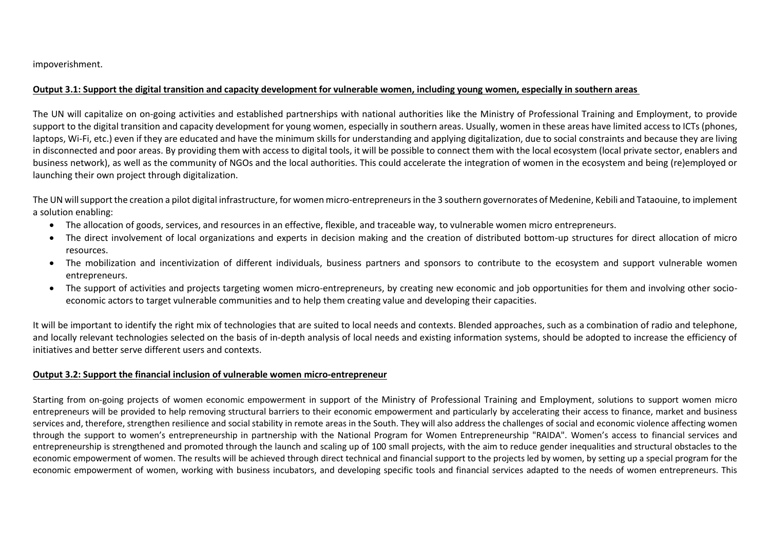impoverishment.

#### **Output 3.1: Support the digital transition and capacity development for vulnerable women, including young women, especially in southern areas**

The UN will capitalize on on-going activities and established partnerships with national authorities like the Ministry of Professional Training and Employment, to provide support to the digital transition and capacity development for young women, especially in southern areas. Usually, women in these areas have limited access to ICTs (phones, laptops, Wi-Fi, etc.) even if they are educated and have the minimum skills for understanding and applying digitalization, due to social constraints and because they are living in disconnected and poor areas. By providing them with access to digital tools, it will be possible to connect them with the local ecosystem (local private sector, enablers and business network), as well as the community of NGOs and the local authorities. This could accelerate the integration of women in the ecosystem and being (re)employed or launching their own project through digitalization.

The UN will support the creation a pilot digital infrastructure, for women micro-entrepreneurs in the 3 southern governorates of Medenine, Kebili and Tataouine, to implement a solution enabling:

- The allocation of goods, services, and resources in an effective, flexible, and traceable way, to vulnerable women micro entrepreneurs.
- The direct involvement of local organizations and experts in decision making and the creation of distributed bottom-up structures for direct allocation of micro resources.
- The mobilization and incentivization of different individuals, business partners and sponsors to contribute to the ecosystem and support vulnerable women entrepreneurs.
- The support of activities and projects targeting women micro-entrepreneurs, by creating new economic and job opportunities for them and involving other socioeconomic actors to target vulnerable communities and to help them creating value and developing their capacities.

It will be important to identify the right mix of technologies that are suited to local needs and contexts. Blended approaches, such as a combination of radio and telephone, and locally relevant technologies selected on the basis of in-depth analysis of local needs and existing information systems, should be adopted to increase the efficiency of initiatives and better serve different users and contexts.

#### **Output 3.2: Support the financial inclusion of vulnerable women micro-entrepreneur**

Starting from on-going projects of women economic empowerment in support of the Ministry of Professional Training and Employment, solutions to support women micro entrepreneurs will be provided to help removing structural barriers to their economic empowerment and particularly by accelerating their access to finance, market and business services and, therefore, strengthen resilience and social stability in remote areas in the South. They will also address the challenges of social and economic violence affecting women through the support to women's entrepreneurship in partnership with the National Program for Women Entrepreneurship "RAIDA". Women's access to financial services and entrepreneurship is strengthened and promoted through the launch and scaling up of 100 small projects, with the aim to reduce gender inequalities and structural obstacles to the economic empowerment of women. The results will be achieved through direct technical and financial support to the projects led by women, by setting up a special program for the economic empowerment of women, working with business incubators, and developing specific tools and financial services adapted to the needs of women entrepreneurs. This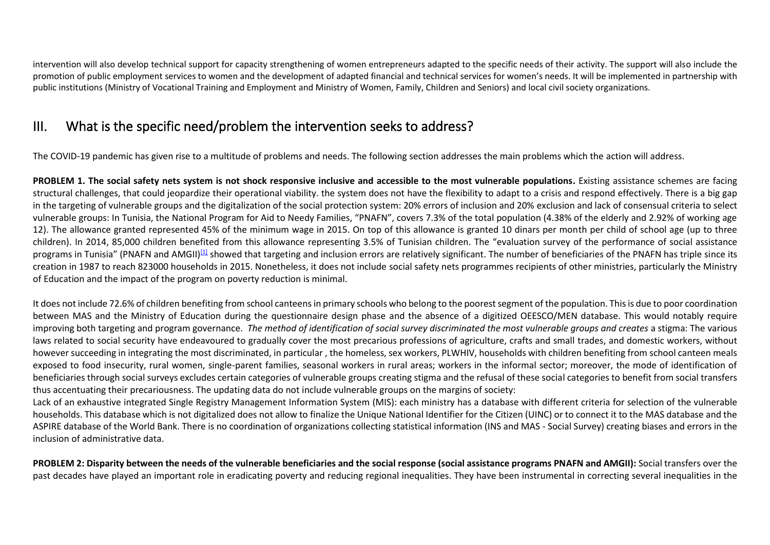intervention will also develop technical support for capacity strengthening of women entrepreneurs adapted to the specific needs of their activity. The support will also include the promotion of public employment services to women and the development of adapted financial and technical services for women's needs. It will be implemented in partnership with public institutions (Ministry of Vocational Training and Employment and Ministry of Women, Family, Children and Seniors) and local civil society organizations.

## III. What is the specific need/problem the intervention seeks to address?

The COVID-19 pandemic has given rise to a multitude of problems and needs. The following section addresses the main problems which the action will address.

**PROBLEM 1. The social safety nets system is not shock responsive inclusive and accessible to the most vulnerable populations. Existing assistance schemes are facing** structural challenges, that could jeopardize their operational viability. the system does not have the flexibility to adapt to a crisis and respond effectively. There is a big gap in the targeting of vulnerable groups and the digitalization of the social protection system: 20% errors of inclusion and 20% exclusion and lack of consensual criteria to select vulnerable groups: In Tunisia, the National Program for Aid to Needy Families, "PNAFN", covers 7.3% of the total population (4.38% of the elderly and 2.92% of working age 12). The allowance granted represented 45% of the minimum wage in 2015. On top of this allowance is granted 10 dinars per month per child of school age (up to three children). In 2014, 85,000 children benefited from this allowance representing 3.5% of Tunisian children. The "evaluation survey of the performance of social assistance programs in Tunisia" (PNAFN and AMGII)<sup>[\[1\]](https://euc-word-edit.officeapps.live.com/we/wordeditorframe.aspx?ui=en%2DUS&rs=en%2DUS&wopisrc=https%3A%2F%2Fundp-my.sharepoint.com%2Fpersonal%2Filhem_brini_one_un_org%2F_vti_bin%2Fwopi.ashx%2Ffiles%2F9c0957ccf36044e9ba42307ba5655f27&wdenableroaming=1&mscc=1&wdodb=1&hid=8BFC4A9F-3085-B000-2656-2023B8B51E2D&wdorigin=ItemsView&wdhostclicktime=1587487170360&jsapi=1&newsession=1&corrid=e1fe9489-0522-493f-aacc-a7517ecd2954&usid=e1fe9489-0522-493f-aacc-a7517ecd2954&instantedit=1&wopicomplete=1&wdredirectionreason=Unified_SingleFlush#_ftn1)</sup> showed that targeting and inclusion errors are relatively significant. The number of beneficiaries of the PNAFN has triple since its creation in 1987 to reach 823000 households in 2015. Nonetheless, it does not include social safety nets programmes recipients of other ministries, particularly the Ministry of Education and the impact of the program on poverty reduction is minimal.

It does not include 72.6% of children benefiting from school canteens in primary schools who belong to the poorest segment of the population. This is due to poor coordination between MAS and the Ministry of Education during the questionnaire design phase and the absence of a digitized OEESCO/MEN database. This would notably require improving both targeting and program governance. *The method of identification of social survey discriminated the most vulnerable groups and creates a stigma: The various* laws related to social security have endeavoured to gradually cover the most precarious professions of agriculture, crafts and small trades, and domestic workers, without however succeeding in integrating the most discriminated, in particular , the homeless, sex workers, PLWHIV, households with children benefiting from school canteen meals exposed to food insecurity, rural women, single-parent families, seasonal workers in rural areas; workers in the informal sector; moreover, the mode of identification of beneficiaries through social surveys excludes certain categories of vulnerable groups creating stigma and the refusal of these social categories to benefit from social transfers thus accentuating their precariousness. The updating data do not include vulnerable groups on the margins of society:

Lack of an exhaustive integrated Single Registry Management Information System (MIS): each ministry has a database with different criteria for selection of the vulnerable households. This database which is not digitalized does not allow to finalize the Unique National Identifier for the Citizen (UINC) or to connect it to the MAS database and the ASPIRE database of the World Bank. There is no coordination of organizations collecting statistical information (INS and MAS - Social Survey) creating biases and errors in the inclusion of administrative data.

**PROBLEM 2: Disparity between the needs of the vulnerable beneficiaries and the social response (social assistance programs PNAFN and AMGII):** Social transfers over the past decades have played an important role in eradicating poverty and reducing regional inequalities. They have been instrumental in correcting several inequalities in the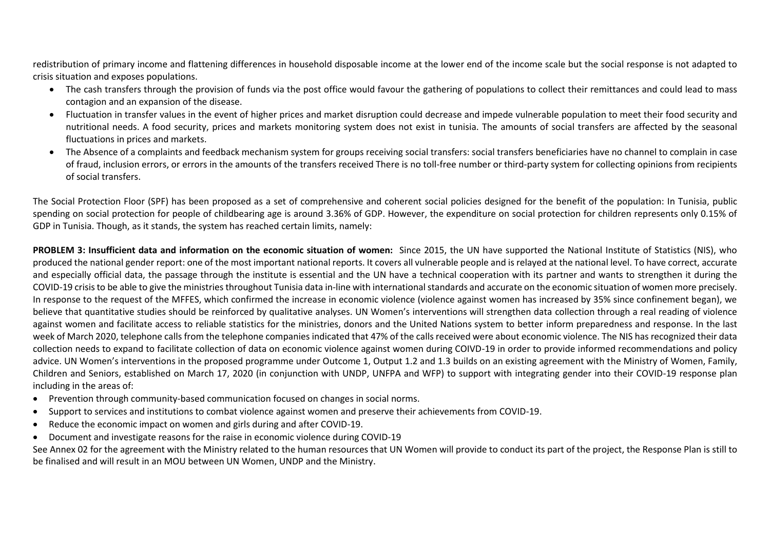redistribution of primary income and flattening differences in household disposable income at the lower end of the income scale but the social response is not adapted to crisis situation and exposes populations.

- The cash transfers through the provision of funds via the post office would favour the gathering of populations to collect their remittances and could lead to mass contagion and an expansion of the disease.
- Fluctuation in transfer values in the event of higher prices and market disruption could decrease and impede vulnerable population to meet their food security and nutritional needs. A food security, prices and markets monitoring system does not exist in tunisia. The amounts of social transfers are affected by the seasonal fluctuations in prices and markets.
- The Absence of a complaints and feedback mechanism system for groups receiving social transfers: social transfers beneficiaries have no channel to complain in case of fraud, inclusion errors, or errors in the amounts of the transfers received There is no toll-free number or third-party system for collecting opinions from recipients of social transfers.

The Social Protection Floor (SPF) has been proposed as a set of comprehensive and coherent social policies designed for the benefit of the population: In Tunisia, public spending on social protection for people of childbearing age is around 3.36% of GDP. However, the expenditure on social protection for children represents only 0.15% of GDP in Tunisia. Though, as it stands, the system has reached certain limits, namely:

**PROBLEM 3: Insufficient data and information on the economic situation of women:** Since 2015, the UN have supported the National Institute of Statistics (NIS), who produced the national gender report: one of the most important national reports. It covers all vulnerable people and is relayed at the national level. To have correct, accurate and especially official data, the passage through the institute is essential and the UN have a technical cooperation with its partner and wants to strengthen it during the COVID-19 crisis to be able to give the ministries throughout Tunisia data in-line with international standards and accurate on the economic situation of women more precisely. In response to the request of the MFFES, which confirmed the increase in economic violence (violence against women has increased by 35% since confinement began), we believe that quantitative studies should be reinforced by qualitative analyses. UN Women's interventions will strengthen data collection through a real reading of violence against women and facilitate access to reliable statistics for the ministries, donors and the United Nations system to better inform preparedness and response. In the last week of March 2020, telephone calls from the telephone companies indicated that 47% of the calls received were about economic violence. The NIS has recognized their data collection needs to expand to facilitate collection of data on economic violence against women during COIVD-19 in order to provide informed recommendations and policy advice. UN Women's interventions in the proposed programme under Outcome 1, Output 1.2 and 1.3 builds on an existing agreement with the Ministry of Women, Family, Children and Seniors, established on March 17, 2020 (in conjunction with UNDP, UNFPA and WFP) to support with integrating gender into their COVID-19 response plan including in the areas of:

- Prevention through community-based communication focused on changes in social norms.
- Support to services and institutions to combat violence against women and preserve their achievements from COVID-19.
- Reduce the economic impact on women and girls during and after COVID-19.
- Document and investigate reasons for the raise in economic violence during COVID-19

See Annex 02 for the agreement with the Ministry related to the human resources that UN Women will provide to conduct its part of the project, the Response Plan is still to be finalised and will result in an MOU between UN Women, UNDP and the Ministry.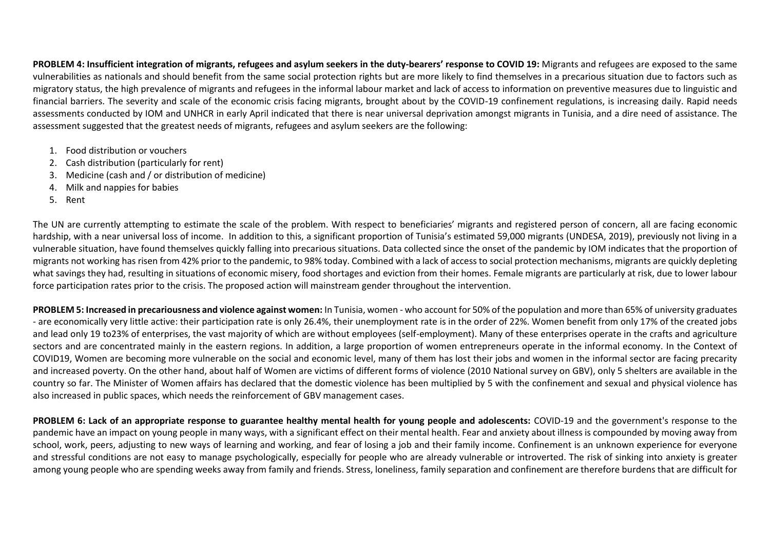**PROBLEM 4: Insufficient integration of migrants, refugees and asylum seekers in the duty-bearers' response to COVID 19:** Migrants and refugees are exposed to the same vulnerabilities as nationals and should benefit from the same social protection rights but are more likely to find themselves in a precarious situation due to factors such as migratory status, the high prevalence of migrants and refugees in the informal labour market and lack of access to information on preventive measures due to linguistic and financial barriers. The severity and scale of the economic crisis facing migrants, brought about by the COVID-19 confinement regulations, is increasing daily. Rapid needs assessments conducted by IOM and UNHCR in early April indicated that there is near universal deprivation amongst migrants in Tunisia, and a dire need of assistance. The assessment suggested that the greatest needs of migrants, refugees and asylum seekers are the following:

- 1. Food distribution or vouchers
- 2. Cash distribution (particularly for rent)
- 3. Medicine (cash and / or distribution of medicine)
- 4. Milk and nappies for babies
- 5. Rent

The UN are currently attempting to estimate the scale of the problem. With respect to beneficiaries' migrants and registered person of concern, all are facing economic hardship, with a near universal loss of income. In addition to this, a significant proportion of Tunisia's estimated 59,000 migrants (UNDESA, 2019), previously not living in a vulnerable situation, have found themselves quickly falling into precarious situations. Data collected since the onset of the pandemic by IOM indicates that the proportion of migrants not working has risen from 42% prior to the pandemic, to 98% today. Combined with a lack of access to social protection mechanisms, migrants are quickly depleting what savings they had, resulting in situations of economic misery, food shortages and eviction from their homes. Female migrants are particularly at risk, due to lower labour force participation rates prior to the crisis. The proposed action will mainstream gender throughout the intervention.

**PROBLEM 5: Increased in precariousness and violence against women:** In Tunisia, women - who account for 50% of the population and more than 65% of university graduates - are economically very little active: their participation rate is only 26.4%, their unemployment rate is in the order of 22%. Women benefit from only 17% of the created jobs and lead only 19 to23% of enterprises, the vast majority of which are without employees (self-employment). Many of these enterprises operate in the crafts and agriculture sectors and are concentrated mainly in the eastern regions. In addition, a large proportion of women entrepreneurs operate in the informal economy. In the Context of COVID19, Women are becoming more vulnerable on the social and economic level, many of them has lost their jobs and women in the informal sector are facing precarity and increased poverty. On the other hand, about half of Women are victims of different forms of violence (2010 National survey on GBV), only 5 shelters are available in the country so far. The Minister of Women affairs has declared that the domestic violence has been multiplied by 5 with the confinement and sexual and physical violence has also increased in public spaces, which needs the reinforcement of GBV management cases.

**PROBLEM 6: Lack of an appropriate response to guarantee healthy mental health for young people and adolescents:** COVID-19 and the government's response to the pandemic have an impact on young people in many ways, with a significant effect on their mental health. Fear and anxiety about illness is compounded by moving away from school, work, peers, adjusting to new ways of learning and working, and fear of losing a job and their family income. Confinement is an unknown experience for everyone and stressful conditions are not easy to manage psychologically, especially for people who are already vulnerable or introverted. The risk of sinking into anxiety is greater among young people who are spending weeks away from family and friends. Stress, loneliness, family separation and confinement are therefore burdens that are difficult for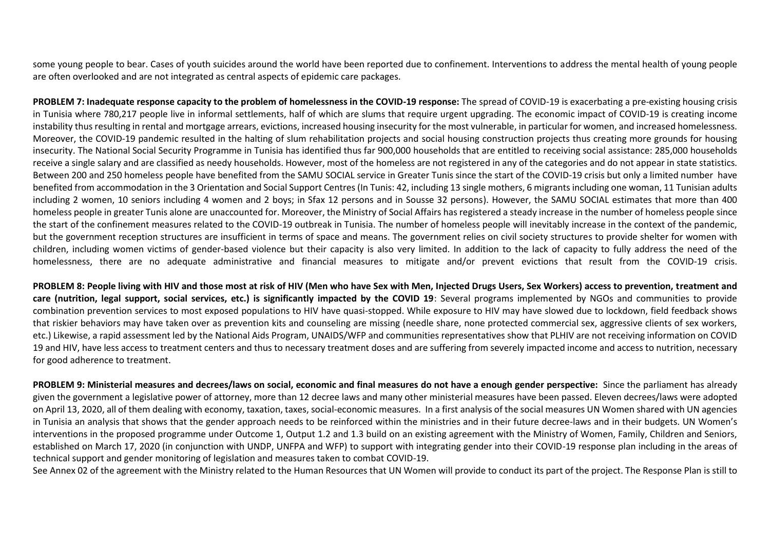some young people to bear. Cases of youth suicides around the world have been reported due to confinement. Interventions to address the mental health of young people are often overlooked and are not integrated as central aspects of epidemic care packages.

**PROBLEM 7: Inadequate response capacity to the problem of homelessness in the COVID-19 response:** The spread of COVID-19 is exacerbating a pre-existing housing crisis in Tunisia where 780,217 people live in informal settlements, half of which are slums that require urgent upgrading. The economic impact of COVID-19 is creating income instability thus resulting in rental and mortgage arrears, evictions, increased housing insecurity for the most vulnerable, in particular for women, and increased homelessness. Moreover, the COVID-19 pandemic resulted in the halting of slum rehabilitation projects and social housing construction projects thus creating more grounds for housing insecurity. The National Social Security Programme in Tunisia has identified thus far 900,000 households that are entitled to receiving social assistance: 285,000 households receive a single salary and are classified as needy households. However, most of the homeless are not registered in any of the categories and do not appear in state statistics. Between 200 and 250 homeless people have benefited from the SAMU SOCIAL service in Greater Tunis since the start of the COVID-19 crisis but only a limited number have benefited from accommodation in the 3 Orientation and Social Support Centres (In Tunis: 42, including 13 single mothers, 6 migrants including one woman, 11 Tunisian adults including 2 women, 10 seniors including 4 women and 2 boys; in Sfax 12 persons and in Sousse 32 persons). However, the SAMU SOCIAL estimates that more than 400 homeless people in greater Tunis alone are unaccounted for. Moreover, the Ministry of Social Affairs has registered a steady increase in the number of homeless people since the start of the confinement measures related to the COVID-19 outbreak in Tunisia. The number of homeless people will inevitably increase in the context of the pandemic, but the government reception structures are insufficient in terms of space and means. The government relies on civil society structures to provide shelter for women with children, including women victims of gender-based violence but their capacity is also very limited. In addition to the lack of capacity to fully address the need of the homelessness, there are no adequate administrative and financial measures to mitigate and/or prevent evictions that result from the COVID-19 crisis.

**PROBLEM 8: People living with HIV and those most at risk of HIV (Men who have Sex with Men, Injected Drugs Users, Sex Workers) access to prevention, treatment and care (nutrition, legal support, social services, etc.) is significantly impacted by the COVID 19**: Several programs implemented by NGOs and communities to provide combination prevention services to most exposed populations to HIV have quasi-stopped. While exposure to HIV may have slowed due to lockdown, field feedback shows that riskier behaviors may have taken over as prevention kits and counseling are missing (needle share, none protected commercial sex, aggressive clients of sex workers, etc.) Likewise, a rapid assessment led by the National Aids Program, UNAIDS/WFP and communities representatives show that PLHIV are not receiving information on COVID 19 and HIV, have less access to treatment centers and thus to necessary treatment doses and are suffering from severely impacted income and access to nutrition, necessary for good adherence to treatment.

**PROBLEM 9: Ministerial measures and decrees/laws on social, economic and final measures do not have a enough gender perspective:** Since the parliament has already given the government a legislative power of attorney, more than 12 decree laws and many other ministerial measures have been passed. Eleven decrees/laws were adopted on April 13, 2020, all of them dealing with economy, taxation, taxes, social-economic measures. In a first analysis of the social measures UN Women shared with UN agencies in Tunisia an analysis that shows that the gender approach needs to be reinforced within the ministries and in their future decree-laws and in their budgets. UN Women's interventions in the proposed programme under Outcome 1, Output 1.2 and 1.3 build on an existing agreement with the Ministry of Women, Family, Children and Seniors, established on March 17, 2020 (in conjunction with UNDP, UNFPA and WFP) to support with integrating gender into their COVID-19 response plan including in the areas of technical support and gender monitoring of legislation and measures taken to combat COVID-19.

See Annex 02 of the agreement with the Ministry related to the Human Resources that UN Women will provide to conduct its part of the project. The Response Plan is still to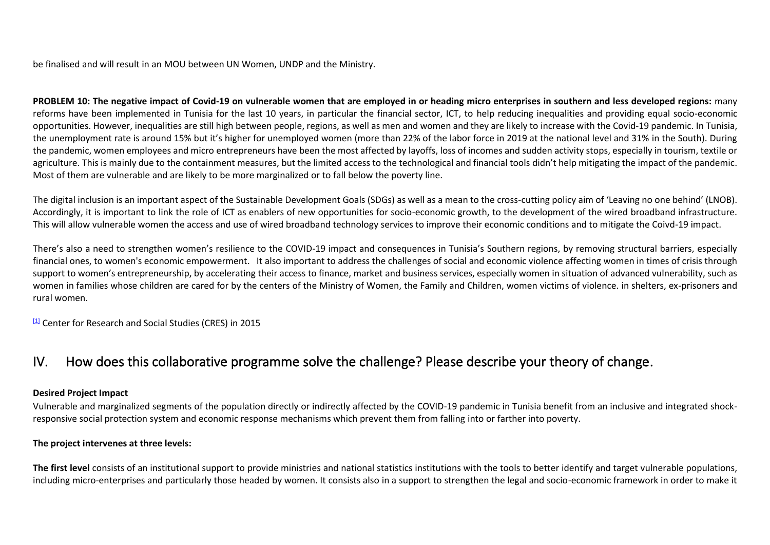be finalised and will result in an MOU between UN Women, UNDP and the Ministry.

**PROBLEM 10: The negative impact of Covid-19 on vulnerable women that are employed in or heading micro enterprises in southern and less developed regions:** many reforms have been implemented in Tunisia for the last 10 years, in particular the financial sector, ICT, to help reducing inequalities and providing equal socio-economic opportunities. However, inequalities are still high between people, regions, as well as men and women and they are likely to increase with the Covid-19 pandemic. In Tunisia, the unemployment rate is around 15% but it's higher for unemployed women (more than 22% of the labor force in 2019 at the national level and 31% in the South). During the pandemic, women employees and micro entrepreneurs have been the most affected by layoffs, loss of incomes and sudden activity stops, especially in tourism, textile or agriculture. This is mainly due to the containment measures, but the limited access to the technological and financial tools didn't help mitigating the impact of the pandemic. Most of them are vulnerable and are likely to be more marginalized or to fall below the poverty line.

The digital inclusion is an important aspect of the Sustainable Development Goals (SDGs) as well as a mean to the cross-cutting policy aim of 'Leaving no one behind' (LNOB). Accordingly, it is important to link the role of ICT as enablers of new opportunities for socio-economic growth, to the development of the wired broadband infrastructure. This will allow vulnerable women the access and use of wired broadband technology services to improve their economic conditions and to mitigate the Coivd-19 impact.

There's also a need to strengthen women's resilience to the COVID-19 impact and consequences in Tunisia's Southern regions, by removing structural barriers, especially financial ones, to women's economic empowerment. It also important to address the challenges of social and economic violence affecting women in times of crisis through support to women's entrepreneurship, by accelerating their access to finance, market and business services, especially women in situation of advanced vulnerability, such as women in families whose children are cared for by the centers of the Ministry of Women, the Family and Children, women victims of violence. in shelters, ex-prisoners and rural women.

<sup>[\[1\]](https://euc-word-edit.officeapps.live.com/we/wordeditorframe.aspx?ui=en%2DUS&rs=en%2DUS&wopisrc=https%3A%2F%2Fundp-my.sharepoint.com%2Fpersonal%2Filhem_brini_one_un_org%2F_vti_bin%2Fwopi.ashx%2Ffiles%2F9c0957ccf36044e9ba42307ba5655f27&wdenableroaming=1&mscc=1&wdodb=1&hid=8BFC4A9F-3085-B000-2656-2023B8B51E2D&wdorigin=ItemsView&wdhostclicktime=1587487170360&jsapi=1&newsession=1&corrid=e1fe9489-0522-493f-aacc-a7517ecd2954&usid=e1fe9489-0522-493f-aacc-a7517ecd2954&instantedit=1&wopicomplete=1&wdredirectionreason=Unified_SingleFlush#_ftnref1)</sup> Center for Research and Social Studies (CRES) in 2015

### IV. How does this collaborative programme solve the challenge? Please describe your theory of change.

#### **Desired Project Impact**

Vulnerable and marginalized segments of the population directly or indirectly affected by the COVID-19 pandemic in Tunisia benefit from an inclusive and integrated shockresponsive social protection system and economic response mechanisms which prevent them from falling into or farther into poverty.

#### **The project intervenes at three levels:**

**The first level** consists of an institutional support to provide ministries and national statistics institutions with the tools to better identify and target vulnerable populations, including micro-enterprises and particularly those headed by women. It consists also in a support to strengthen the legal and socio-economic framework in order to make it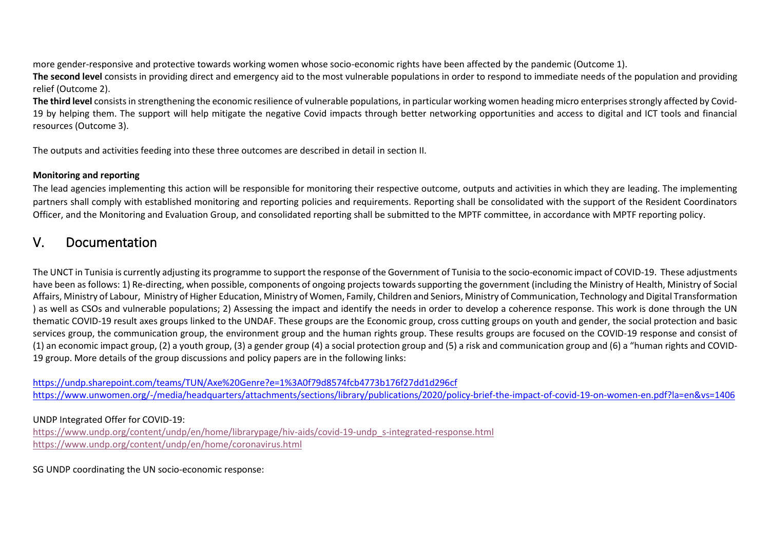more gender-responsive and protective towards working women whose socio-economic rights have been affected by the pandemic (Outcome 1).

**The second level** consists in providing direct and emergency aid to the most vulnerable populations in order to respond to immediate needs of the population and providing relief (Outcome 2).

**The third level** consists in strengthening the economic resilience of vulnerable populations, in particular working women heading micro enterprises strongly affected by Covid-19 by helping them. The support will help mitigate the negative Covid impacts through better networking opportunities and access to digital and ICT tools and financial resources (Outcome 3).

The outputs and activities feeding into these three outcomes are described in detail in section II.

#### **Monitoring and reporting**

The lead agencies implementing this action will be responsible for monitoring their respective outcome, outputs and activities in which they are leading. The implementing partners shall comply with established monitoring and reporting policies and requirements. Reporting shall be consolidated with the support of the Resident Coordinators Officer, and the Monitoring and Evaluation Group, and consolidated reporting shall be submitted to the MPTF committee, in accordance with MPTF reporting policy.

### V. Documentation

The UNCT in Tunisia is currently adjusting its programme to support the response of the Government of Tunisia to the socio-economic impact of COVID-19. These adjustments have been as follows: 1) Re-directing, when possible, components of ongoing projects towards supporting the government (including the Ministry of Health, Ministry of Social Affairs, Ministry of Labour, Ministry of Higher Education, Ministry of Women, Family, Children and Seniors, Ministry of Communication, Technology and Digital Transformation ) as well as CSOs and vulnerable populations; 2) Assessing the impact and identify the needs in order to develop a coherence response. This work is done through the UN thematic COVID-19 result axes groups linked to the UNDAF. These groups are the Economic group, cross cutting groups on youth and gender, the social protection and basic services group, the communication group, the environment group and the human rights group. These results groups are focused on the COVID-19 response and consist of (1) an economic impact group, (2) a youth group, (3) a gender group (4) a social protection group and (5) a risk and communication group and (6) a "human rights and COVID-19 group. More details of the group discussions and policy papers are in the following links:

[https://undp.sharepoint.com/teams/TUN/Axe%20Genre?e=1%3A0f79d8574fcb4773b176f27dd1d296cf](https://eur03.safelinks.protection.outlook.com/?url=https%3A%2F%2Fundp.sharepoint.com%2Fteams%2FTUN%2FAxe%2520Genre%3Fe%3D1%253A0f79d8574fcb4773b176f27dd1d296cf&data=02%7C01%7Cilhem.brini%40one.un.org%7Caedadccb142644aeb26108d7e833331c%7Cb3e5db5e2944483799f57488ace54319%7C0%7C1%7C637233178914367766&sdata=ZiecFNaJOOPw017h6vS%2B2rHAWgi2w%2FoS7DxN%2BJSf3ZI%3D&reserved=0) [https://www.unwomen.org/-/media/headquarters/attachments/sections/library/publications/2020/policy-brief-the-impact-of-covid-19-on-women-en.pdf?la=en&vs=1406](https://eur03.safelinks.protection.outlook.com/?url=https%3A%2F%2Fwww.unwomen.org%2F-%2Fmedia%2Fheadquarters%2Fattachments%2Fsections%2Flibrary%2Fpublications%2F2020%2Fpolicy-brief-the-impact-of-covid-19-on-women-en.pdf%3Fla%3Den%26vs%3D1406&data=02%7C01%7Cilhem.brini%40one.un.org%7Caedadccb142644aeb26108d7e833331c%7Cb3e5db5e2944483799f57488ace54319%7C0%7C1%7C637233178914377722&sdata=2EQnjpO4LXJner%2FM4D5L%2FphHPEUa%2FMHw8ncmhVNm8dk%3D&reserved=0)

#### UNDP Integrated Offer for COVID-19:

[https://www.undp.org/content/undp/en/home/librarypage/hiv-aids/covid-19-undp\\_s-integrated-response.html](https://eur03.safelinks.protection.outlook.com/?url=https%3A%2F%2Fwww.undp.org%2Fcontent%2Fundp%2Fen%2Fhome%2Flibrarypage%2Fhiv-aids%2Fcovid-19-undp_s-integrated-response.html&data=02%7C01%7Casma.khouja%40undp.org%7Cf9753d7e9f95443e277e08d7e83e4aae%7Cb3e5db5e2944483799f57488ace54319%7C0%7C0%7C637233226550120686&sdata=k6xi2P4PH1ZhcG5fL2XaZJDPaKUCmqh1HEX7tx9cqYg%3D&reserved=0) [https://www.undp.org/content/undp/en/home/coronavirus.html](https://eur03.safelinks.protection.outlook.com/?url=https%3A%2F%2Fwww.undp.org%2Fcontent%2Fundp%2Fen%2Fhome%2Fcoronavirus.html&data=02%7C01%7Casma.khouja%40undp.org%7Cf9753d7e9f95443e277e08d7e83e4aae%7Cb3e5db5e2944483799f57488ace54319%7C0%7C0%7C637233226550120686&sdata=5jdqxdUtAWPPRvVmIFSMPimu1LCY1L0JkQGp%2F1mU6TQ%3D&reserved=0)

SG UNDP coordinating the UN socio-economic response: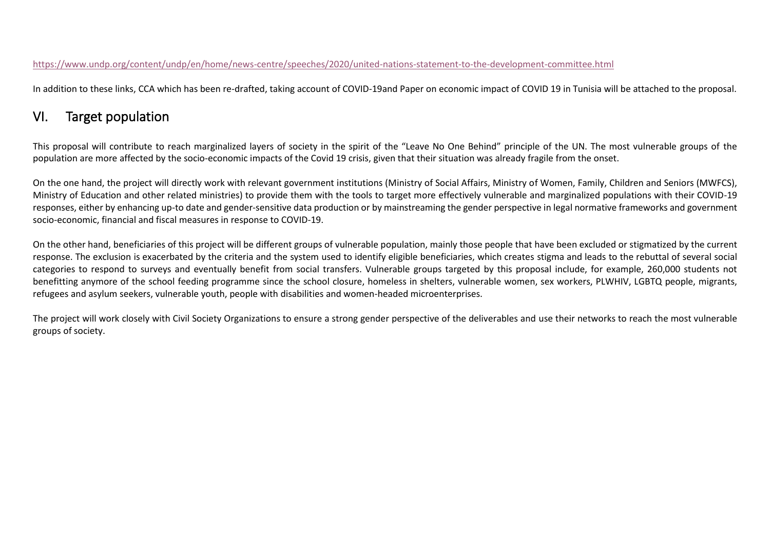#### [https://www.undp.org/content/undp/en/home/news-centre/speeches/2020/united-nations-statement-to-the-development-committee.html](https://eur03.safelinks.protection.outlook.com/?url=https%3A%2F%2Fwww.undp.org%2Fcontent%2Fundp%2Fen%2Fhome%2Fnews-centre%2Fspeeches%2F2020%2Funited-nations-statement-to-the-development-committee.html&data=02%7C01%7Casma.khouja%40undp.org%7Cf9753d7e9f95443e277e08d7e83e4aae%7Cb3e5db5e2944483799f57488ace54319%7C0%7C0%7C637233226550130643&sdata=zOgug2M%2B6T0OvzssqVaB8GQMx3HUIA%2BhgzQNfCiAZeU%3D&reserved=0)

In addition to these links, CCA which has been re-drafted, taking account of COVID-19and Paper on economic impact of COVID 19 in Tunisia will be attached to the proposal.

# VI. Target population

This proposal will contribute to reach marginalized layers of society in the spirit of the "Leave No One Behind" principle of the UN. The most vulnerable groups of the population are more affected by the socio-economic impacts of the Covid 19 crisis, given that their situation was already fragile from the onset.

On the one hand, the project will directly work with relevant government institutions (Ministry of Social Affairs, Ministry of Women, Family, Children and Seniors (MWFCS), Ministry of Education and other related ministries) to provide them with the tools to target more effectively vulnerable and marginalized populations with their COVID-19 responses, either by enhancing up-to date and gender-sensitive data production or by mainstreaming the gender perspective in legal normative frameworks and government socio-economic, financial and fiscal measures in response to COVID-19.

On the other hand, beneficiaries of this project will be different groups of vulnerable population, mainly those people that have been excluded or stigmatized by the current response. The exclusion is exacerbated by the criteria and the system used to identify eligible beneficiaries, which creates stigma and leads to the rebuttal of several social categories to respond to surveys and eventually benefit from social transfers. Vulnerable groups targeted by this proposal include, for example, 260,000 students not benefitting anymore of the school feeding programme since the school closure, homeless in shelters, vulnerable women, sex workers, PLWHIV, LGBTQ people, migrants, refugees and asylum seekers, vulnerable youth, people with disabilities and women-headed microenterprises.

The project will work closely with Civil Society Organizations to ensure a strong gender perspective of the deliverables and use their networks to reach the most vulnerable groups of society.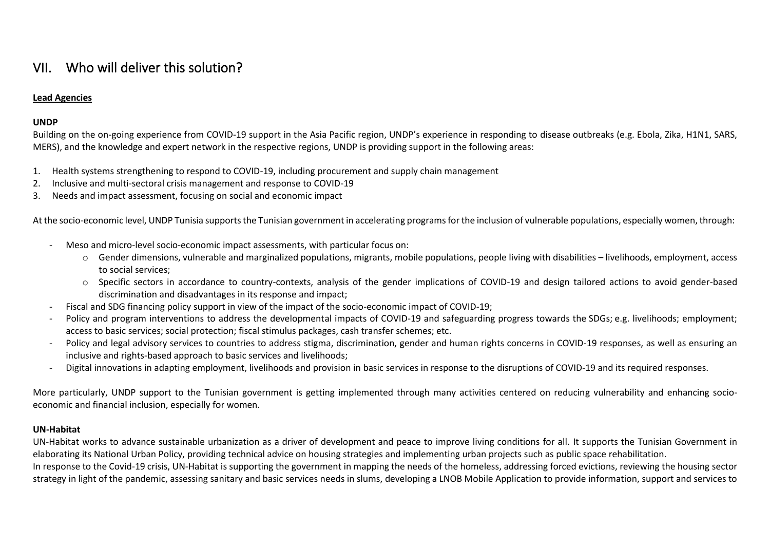## VII. Who will deliver this solution?

#### **Lead Agencies**

#### **UNDP**

Building on the on-going experience from COVID-19 support in the Asia Pacific region, UNDP's experience in responding to disease outbreaks (e.g. Ebola, Zika, H1N1, SARS, MERS), and the knowledge and expert network in the respective regions, UNDP is providing support in the following areas:

- 1. Health systems strengthening to respond to COVID-19, including procurement and supply chain management
- 2. Inclusive and multi-sectoral crisis management and response to COVID-19
- 3. Needs and impact assessment, focusing on social and economic impact

At the socio-economic level, UNDP Tunisia supports the Tunisian government in accelerating programs for the inclusion of vulnerable populations, especially women, through:

- Meso and micro-level socio-economic impact assessments, with particular focus on:
	- o Gender dimensions, vulnerable and marginalized populations, migrants, mobile populations, people living with disabilities livelihoods, employment, access to social services;
	- o Specific sectors in accordance to country-contexts, analysis of the gender implications of COVID-19 and design tailored actions to avoid gender-based discrimination and disadvantages in its response and impact;
- Fiscal and SDG financing policy support in view of the impact of the socio-economic impact of COVID-19;
- Policy and program interventions to address the developmental impacts of COVID-19 and safeguarding progress towards the SDGs; e.g. livelihoods; employment; access to basic services; social protection; fiscal stimulus packages, cash transfer schemes; etc.
- Policy and legal advisory services to countries to address stigma, discrimination, gender and human rights concerns in COVID-19 responses, as well as ensuring an inclusive and rights-based approach to basic services and livelihoods;
- Digital innovations in adapting employment, livelihoods and provision in basic services in response to the disruptions of COVID-19 and its required responses.

More particularly, UNDP support to the Tunisian government is getting implemented through many activities centered on reducing vulnerability and enhancing socioeconomic and financial inclusion, especially for women.

#### **UN-Habitat**

UN-Habitat works to advance sustainable urbanization as a driver of development and peace to improve living conditions for all. It supports the Tunisian Government in elaborating its National Urban Policy, providing technical advice on housing strategies and implementing urban projects such as public space rehabilitation. In response to the Covid-19 crisis, UN-Habitat is supporting the government in mapping the needs of the homeless, addressing forced evictions, reviewing the housing sector strategy in light of the pandemic, assessing sanitary and basic services needs in slums, developing a LNOB Mobile Application to provide information, support and services to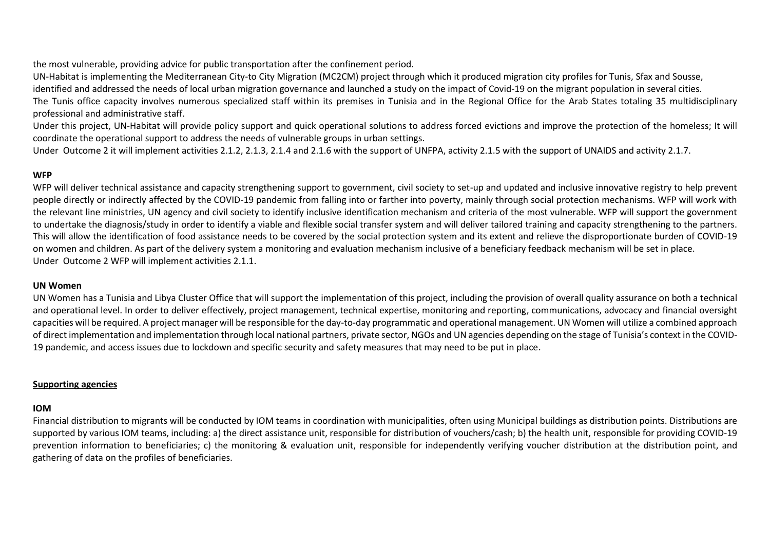the most vulnerable, providing advice for public transportation after the confinement period.

UN-Habitat is implementing the Mediterranean City-to City Migration (MC2CM) project through which it produced migration city profiles for Tunis, Sfax and Sousse,

identified and addressed the needs of local urban migration governance and launched a study on the impact of Covid-19 on the migrant population in several cities.

The Tunis office capacity involves numerous specialized staff within its premises in Tunisia and in the Regional Office for the Arab States totaling 35 multidisciplinary professional and administrative staff.

Under this project, UN-Habitat will provide policy support and quick operational solutions to address forced evictions and improve the protection of the homeless; It will coordinate the operational support to address the needs of vulnerable groups in urban settings.

Under Outcome 2 it will implement activities 2.1.2, 2.1.3, 2.1.4 and 2.1.6 with the support of UNFPA, activity 2.1.5 with the support of UNAIDS and activity 2.1.7.

#### **WFP**

WFP will deliver technical assistance and capacity strengthening support to government, civil society to set-up and updated and inclusive innovative registry to help prevent people directly or indirectly affected by the COVID-19 pandemic from falling into or farther into poverty, mainly through social protection mechanisms. WFP will work with the relevant line ministries, UN agency and civil society to identify inclusive identification mechanism and criteria of the most vulnerable. WFP will support the government to undertake the diagnosis/study in order to identify a viable and flexible social transfer system and will deliver tailored training and capacity strengthening to the partners. This will allow the identification of food assistance needs to be covered by the social protection system and its extent and relieve the disproportionate burden of COVID-19 on women and children. As part of the delivery system a monitoring and evaluation mechanism inclusive of a beneficiary feedback mechanism will be set in place. Under Outcome 2 WFP will implement activities 2.1.1.

#### **UN Women**

UN Women has a Tunisia and Libya Cluster Office that will support the implementation of this project, including the provision of overall quality assurance on both a technical and operational level. In order to deliver effectively, project management, technical expertise, monitoring and reporting, communications, advocacy and financial oversight capacities will be required. A project manager will be responsible for the day-to-day programmatic and operational management. UN Women will utilize a combined approach of direct implementation and implementation through local national partners, private sector, NGOs and UN agencies depending on the stage of Tunisia's context in the COVID-19 pandemic, and access issues due to lockdown and specific security and safety measures that may need to be put in place.

#### **Supporting agencies**

#### **IOM**

Financial distribution to migrants will be conducted by IOM teams in coordination with municipalities, often using Municipal buildings as distribution points. Distributions are supported by various IOM teams, including: a) the direct assistance unit, responsible for distribution of vouchers/cash; b) the health unit, responsible for providing COVID-19 prevention information to beneficiaries; c) the monitoring & evaluation unit, responsible for independently verifying voucher distribution at the distribution point, and gathering of data on the profiles of beneficiaries.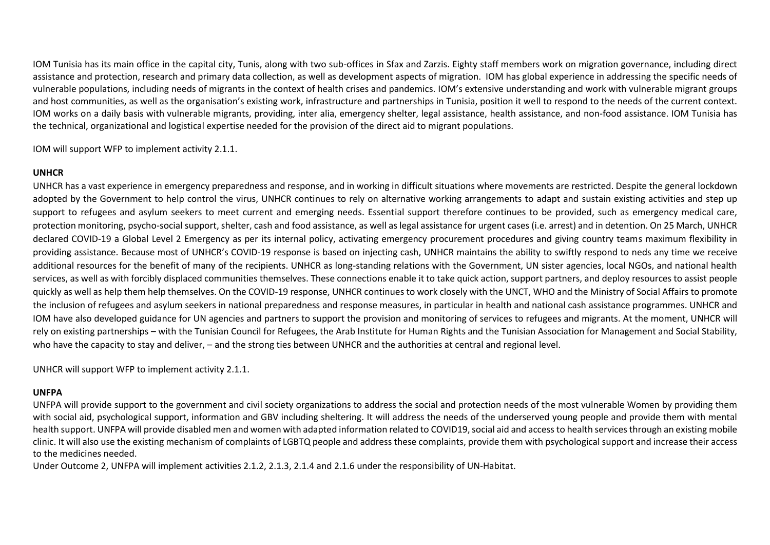IOM Tunisia has its main office in the capital city, Tunis, along with two sub-offices in Sfax and Zarzis. Eighty staff members work on migration governance, including direct assistance and protection, research and primary data collection, as well as development aspects of migration. IOM has global experience in addressing the specific needs of vulnerable populations, including needs of migrants in the context of health crises and pandemics. IOM's extensive understanding and work with vulnerable migrant groups and host communities, as well as the organisation's existing work, infrastructure and partnerships in Tunisia, position it well to respond to the needs of the current context. IOM works on a daily basis with vulnerable migrants, providing, inter alia, emergency shelter, legal assistance, health assistance, and non-food assistance. IOM Tunisia has the technical, organizational and logistical expertise needed for the provision of the direct aid to migrant populations.

IOM will support WFP to implement activity 2.1.1.

#### **UNHCR**

UNHCR has a vast experience in emergency preparedness and response, and in working in difficult situations where movements are restricted. Despite the general lockdown adopted by the Government to help control the virus, UNHCR continues to rely on alternative working arrangements to adapt and sustain existing activities and step up support to refugees and asylum seekers to meet current and emerging needs. Essential support therefore continues to be provided, such as emergency medical care, protection monitoring, psycho-social support, shelter, cash and food assistance, as well as legal assistance for urgent cases (i.e. arrest) and in detention. On 25 March, UNHCR declared COVID-19 a Global Level 2 Emergency as per its internal policy, activating emergency procurement procedures and giving country teams maximum flexibility in providing assistance. Because most of UNHCR's COVID-19 response is based on injecting cash, UNHCR maintains the ability to swiftly respond to neds any time we receive additional resources for the benefit of many of the recipients. UNHCR as long-standing relations with the Government, UN sister agencies, local NGOs, and national health services, as well as with forcibly displaced communities themselves. These connections enable it to take quick action, support partners, and deploy resources to assist people quickly as well as help them help themselves. On the COVID-19 response, UNHCR continues to work closely with the UNCT, WHO and the Ministry of Social Affairs to promote the inclusion of refugees and asylum seekers in national preparedness and response measures, in particular in health and national cash assistance programmes. UNHCR and IOM have also developed guidance for UN agencies and partners to support the provision and monitoring of services to refugees and migrants. At the moment, UNHCR will rely on existing partnerships – with the Tunisian Council for Refugees, the Arab Institute for Human Rights and the Tunisian Association for Management and Social Stability, who have the capacity to stay and deliver, – and the strong ties between UNHCR and the authorities at central and regional level.

UNHCR will support WFP to implement activity 2.1.1.

#### **UNFPA**

UNFPA will provide support to the government and civil society organizations to address the social and protection needs of the most vulnerable Women by providing them with social aid, psychological support, information and GBV including sheltering. It will address the needs of the underserved young people and provide them with mental health support. UNFPA will provide disabled men and women with adapted information related to COVID19, social aid and access to health services through an existing mobile clinic. It will also use the existing mechanism of complaints of LGBTQ people and address these complaints, provide them with psychological support and increase their access to the medicines needed.

Under Outcome 2, UNFPA will implement activities 2.1.2, 2.1.3, 2.1.4 and 2.1.6 under the responsibility of UN-Habitat.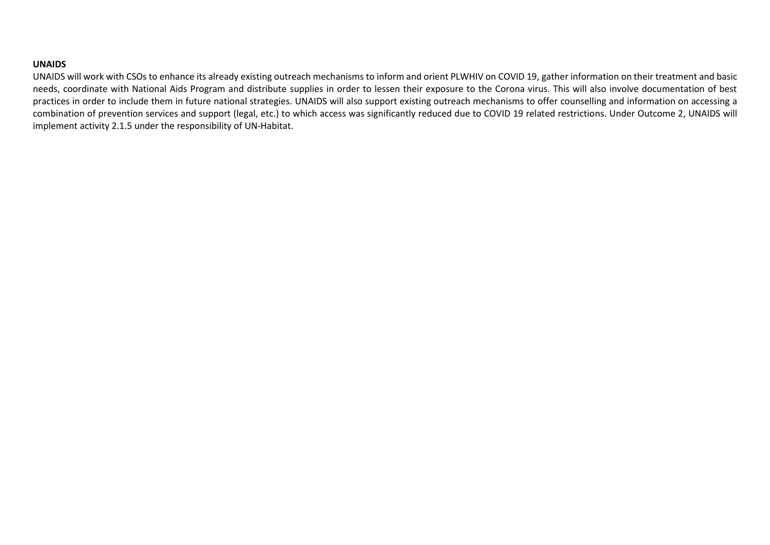#### **UNAIDS**

UNAIDS will work with CSOs to enhance its already existing outreach mechanisms to inform and orient PLWHIV on COVID 19, gather information on their treatment and basic needs, coordinate with National Aids Program and distribute supplies in order to lessen their exposure to the Corona virus. This will also involve documentation of best practices in order to include them in future national strategies. UNAIDS will also support existing outreach mechanisms to offer counselling and information on accessing a combination of prevention services and support (legal, etc.) to which access was significantly reduced due to COVID 19 related restrictions. Under Outcome 2, UNAIDS will implement activity 2.1.5 under the responsibility of UN-Habitat.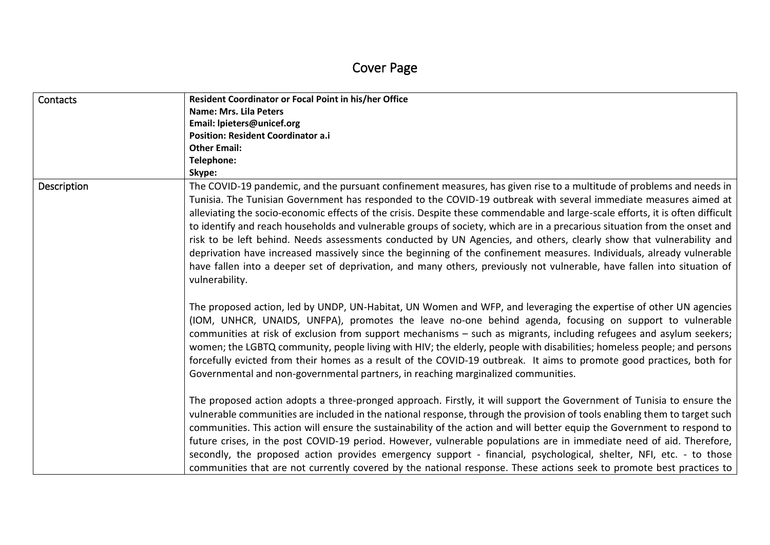| Contacts    | Resident Coordinator or Focal Point in his/her Office                                                                                                                                                                                                                                                                                                                                                                                                                                                                                                                                                                                                                                                                                                                                                                                                                                                |
|-------------|------------------------------------------------------------------------------------------------------------------------------------------------------------------------------------------------------------------------------------------------------------------------------------------------------------------------------------------------------------------------------------------------------------------------------------------------------------------------------------------------------------------------------------------------------------------------------------------------------------------------------------------------------------------------------------------------------------------------------------------------------------------------------------------------------------------------------------------------------------------------------------------------------|
|             | <b>Name: Mrs. Lila Peters</b>                                                                                                                                                                                                                                                                                                                                                                                                                                                                                                                                                                                                                                                                                                                                                                                                                                                                        |
|             | Email: Ipieters@unicef.org                                                                                                                                                                                                                                                                                                                                                                                                                                                                                                                                                                                                                                                                                                                                                                                                                                                                           |
|             | <b>Position: Resident Coordinator a.i</b>                                                                                                                                                                                                                                                                                                                                                                                                                                                                                                                                                                                                                                                                                                                                                                                                                                                            |
|             | <b>Other Email:</b>                                                                                                                                                                                                                                                                                                                                                                                                                                                                                                                                                                                                                                                                                                                                                                                                                                                                                  |
|             | Telephone:                                                                                                                                                                                                                                                                                                                                                                                                                                                                                                                                                                                                                                                                                                                                                                                                                                                                                           |
|             | Skype:                                                                                                                                                                                                                                                                                                                                                                                                                                                                                                                                                                                                                                                                                                                                                                                                                                                                                               |
| Description | The COVID-19 pandemic, and the pursuant confinement measures, has given rise to a multitude of problems and needs in<br>Tunisia. The Tunisian Government has responded to the COVID-19 outbreak with several immediate measures aimed at<br>alleviating the socio-economic effects of the crisis. Despite these commendable and large-scale efforts, it is often difficult<br>to identify and reach households and vulnerable groups of society, which are in a precarious situation from the onset and<br>risk to be left behind. Needs assessments conducted by UN Agencies, and others, clearly show that vulnerability and<br>deprivation have increased massively since the beginning of the confinement measures. Individuals, already vulnerable<br>have fallen into a deeper set of deprivation, and many others, previously not vulnerable, have fallen into situation of<br>vulnerability. |
|             | The proposed action, led by UNDP, UN-Habitat, UN Women and WFP, and leveraging the expertise of other UN agencies<br>(IOM, UNHCR, UNAIDS, UNFPA), promotes the leave no-one behind agenda, focusing on support to vulnerable<br>communities at risk of exclusion from support mechanisms – such as migrants, including refugees and asylum seekers;<br>women; the LGBTQ community, people living with HIV; the elderly, people with disabilities; homeless people; and persons<br>forcefully evicted from their homes as a result of the COVID-19 outbreak. It aims to promote good practices, both for<br>Governmental and non-governmental partners, in reaching marginalized communities.                                                                                                                                                                                                         |
|             | The proposed action adopts a three-pronged approach. Firstly, it will support the Government of Tunisia to ensure the<br>vulnerable communities are included in the national response, through the provision of tools enabling them to target such<br>communities. This action will ensure the sustainability of the action and will better equip the Government to respond to<br>future crises, in the post COVID-19 period. However, vulnerable populations are in immediate need of aid. Therefore,<br>secondly, the proposed action provides emergency support - financial, psychological, shelter, NFI, etc. - to those<br>communities that are not currently covered by the national response. These actions seek to promote best practices to                                                                                                                                                 |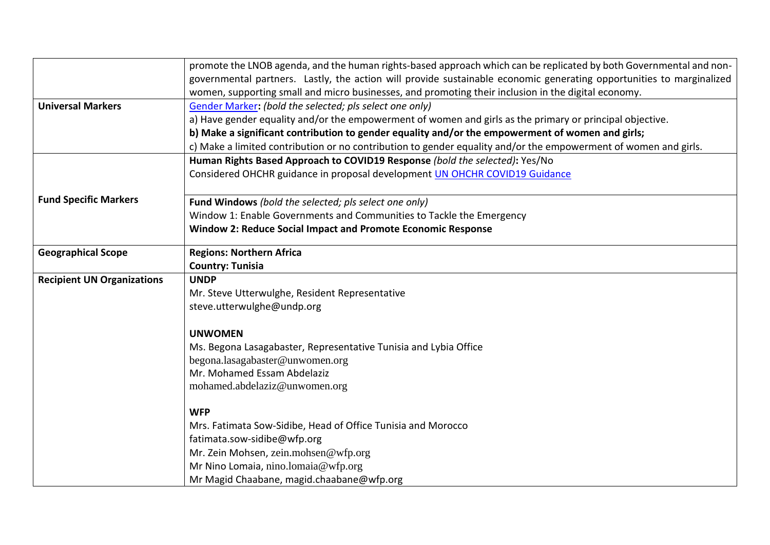|                                   | promote the LNOB agenda, and the human rights-based approach which can be replicated by both Governmental and non-   |
|-----------------------------------|----------------------------------------------------------------------------------------------------------------------|
|                                   | governmental partners. Lastly, the action will provide sustainable economic generating opportunities to marginalized |
|                                   | women, supporting small and micro businesses, and promoting their inclusion in the digital economy.                  |
| <b>Universal Markers</b>          | Gender Marker: (bold the selected; pls select one only)                                                              |
|                                   | a) Have gender equality and/or the empowerment of women and girls as the primary or principal objective.             |
|                                   | b) Make a significant contribution to gender equality and/or the empowerment of women and girls;                     |
|                                   | c) Make a limited contribution or no contribution to gender equality and/or the empowerment of women and girls.      |
|                                   | Human Rights Based Approach to COVID19 Response (bold the selected): Yes/No                                          |
|                                   | Considered OHCHR guidance in proposal development UN OHCHR COVID19 Guidance                                          |
| <b>Fund Specific Markers</b>      | Fund Windows (bold the selected; pls select one only)                                                                |
|                                   | Window 1: Enable Governments and Communities to Tackle the Emergency                                                 |
|                                   | <b>Window 2: Reduce Social Impact and Promote Economic Response</b>                                                  |
| <b>Geographical Scope</b>         | <b>Regions: Northern Africa</b>                                                                                      |
|                                   | <b>Country: Tunisia</b>                                                                                              |
| <b>Recipient UN Organizations</b> | <b>UNDP</b>                                                                                                          |
|                                   | Mr. Steve Utterwulghe, Resident Representative                                                                       |
|                                   | steve.utterwulghe@undp.org                                                                                           |
|                                   | <b>UNWOMEN</b>                                                                                                       |
|                                   | Ms. Begona Lasagabaster, Representative Tunisia and Lybia Office                                                     |
|                                   | begona.lasagabaster@unwomen.org                                                                                      |
|                                   | Mr. Mohamed Essam Abdelaziz                                                                                          |
|                                   | mohamed.abdelaziz@unwomen.org                                                                                        |
|                                   | <b>WFP</b>                                                                                                           |
|                                   | Mrs. Fatimata Sow-Sidibe, Head of Office Tunisia and Morocco                                                         |
|                                   | fatimata.sow-sidibe@wfp.org                                                                                          |
|                                   | Mr. Zein Mohsen, zein.mohsen@wfp.org                                                                                 |
|                                   | Mr Nino Lomaia, nino.lomaia@wfp.org                                                                                  |
|                                   | Mr Magid Chaabane, magid.chaabane@wfp.org                                                                            |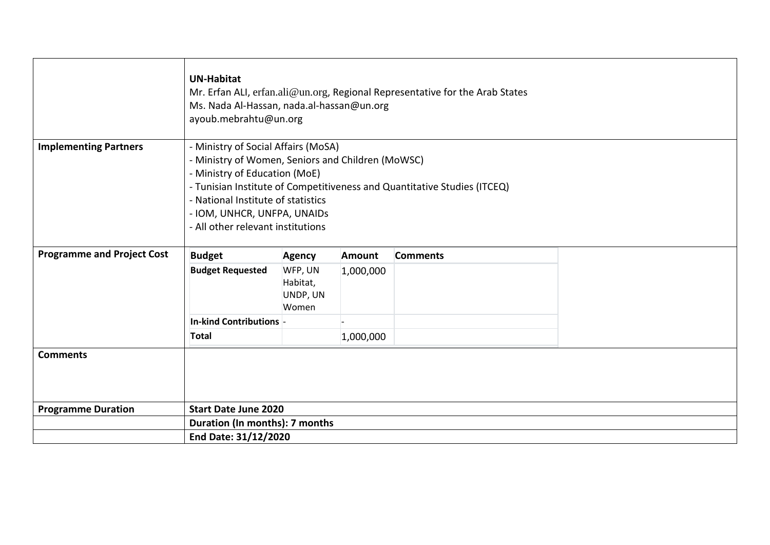|                                   | <b>UN-Habitat</b><br>Ms. Nada Al-Hassan, nada.al-hassan@un.org<br>ayoub.mebrahtu@un.org                                                                                                                                             |                                          |               | Mr. Erfan ALI, erfan.ali@un.org, Regional Representative for the Arab States |  |  |
|-----------------------------------|-------------------------------------------------------------------------------------------------------------------------------------------------------------------------------------------------------------------------------------|------------------------------------------|---------------|------------------------------------------------------------------------------|--|--|
|                                   |                                                                                                                                                                                                                                     |                                          |               |                                                                              |  |  |
| <b>Implementing Partners</b>      | - Ministry of Social Affairs (MoSA)<br>- Ministry of Women, Seniors and Children (MoWSC)<br>- Ministry of Education (MoE)<br>- National Institute of statistics<br>- IOM, UNHCR, UNFPA, UNAIDS<br>- All other relevant institutions |                                          |               | - Tunisian Institute of Competitiveness and Quantitative Studies (ITCEQ)     |  |  |
| <b>Programme and Project Cost</b> | <b>Budget</b>                                                                                                                                                                                                                       | <b>Agency</b>                            | <b>Amount</b> | <b>Comments</b>                                                              |  |  |
|                                   | <b>Budget Requested</b>                                                                                                                                                                                                             | WFP, UN<br>Habitat,<br>UNDP, UN<br>Women | 1,000,000     |                                                                              |  |  |
|                                   | In-kind Contributions -                                                                                                                                                                                                             |                                          |               |                                                                              |  |  |
|                                   | Total                                                                                                                                                                                                                               |                                          | 1,000,000     |                                                                              |  |  |
| <b>Comments</b>                   |                                                                                                                                                                                                                                     |                                          |               |                                                                              |  |  |
| <b>Programme Duration</b>         | <b>Start Date June 2020</b>                                                                                                                                                                                                         |                                          |               |                                                                              |  |  |
|                                   | Duration (In months): 7 months                                                                                                                                                                                                      |                                          |               |                                                                              |  |  |
|                                   | End Date: 31/12/2020                                                                                                                                                                                                                |                                          |               |                                                                              |  |  |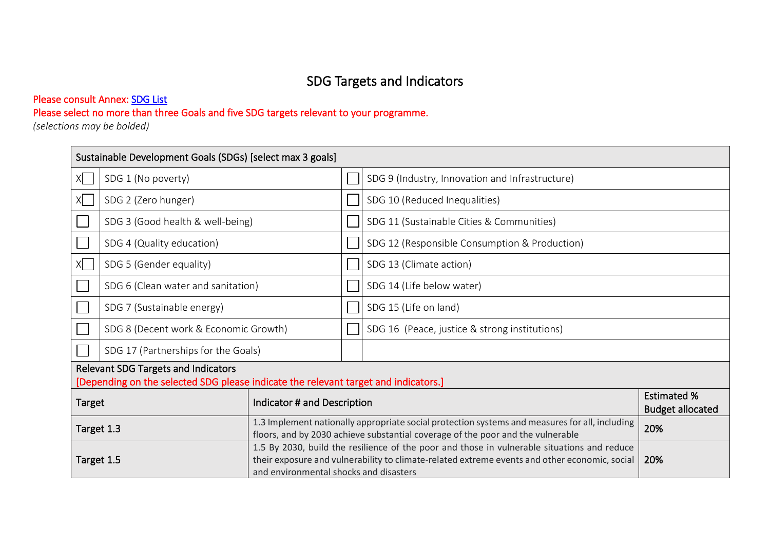# SDG Targets and Indicators

### Please consult Annex: [SDG List](#page-32-0)

# Please select no more than three Goals and five SDG targets relevant to your programme.

*(selections may be bolded)* 

|                                                      | Sustainable Development Goals (SDGs) [select max 3 goals]                                                                         |                             |  |                                                                                                                                                                                              |                                               |  |
|------------------------------------------------------|-----------------------------------------------------------------------------------------------------------------------------------|-----------------------------|--|----------------------------------------------------------------------------------------------------------------------------------------------------------------------------------------------|-----------------------------------------------|--|
| Χl                                                   | SDG 1 (No poverty)                                                                                                                |                             |  | SDG 9 (Industry, Innovation and Infrastructure)                                                                                                                                              |                                               |  |
|                                                      | SDG 2 (Zero hunger)                                                                                                               |                             |  | SDG 10 (Reduced Inequalities)                                                                                                                                                                |                                               |  |
|                                                      | SDG 3 (Good health & well-being)                                                                                                  |                             |  | SDG 11 (Sustainable Cities & Communities)                                                                                                                                                    |                                               |  |
|                                                      | SDG 4 (Quality education)                                                                                                         |                             |  | SDG 12 (Responsible Consumption & Production)                                                                                                                                                |                                               |  |
| XI                                                   | SDG 5 (Gender equality)                                                                                                           |                             |  | SDG 13 (Climate action)                                                                                                                                                                      |                                               |  |
|                                                      | SDG 6 (Clean water and sanitation)                                                                                                |                             |  | SDG 14 (Life below water)                                                                                                                                                                    |                                               |  |
|                                                      | SDG 7 (Sustainable energy)                                                                                                        |                             |  | SDG 15 (Life on land)                                                                                                                                                                        |                                               |  |
|                                                      | SDG 8 (Decent work & Economic Growth)                                                                                             |                             |  | SDG 16 (Peace, justice & strong institutions)                                                                                                                                                |                                               |  |
|                                                      | SDG 17 (Partnerships for the Goals)                                                                                               |                             |  |                                                                                                                                                                                              |                                               |  |
|                                                      | <b>Relevant SDG Targets and Indicators</b><br>[Depending on the selected SDG please indicate the relevant target and indicators.] |                             |  |                                                                                                                                                                                              |                                               |  |
| <b>Target</b>                                        |                                                                                                                                   | Indicator # and Description |  |                                                                                                                                                                                              | <b>Estimated %</b><br><b>Budget allocated</b> |  |
|                                                      | Target 1.3                                                                                                                        |                             |  | 1.3 Implement nationally appropriate social protection systems and measures for all, including<br>20%<br>floors, and by 2030 achieve substantial coverage of the poor and the vulnerable     |                                               |  |
| Target 1.5<br>and environmental shocks and disasters |                                                                                                                                   |                             |  | 1.5 By 2030, build the resilience of the poor and those in vulnerable situations and reduce<br>their exposure and vulnerability to climate-related extreme events and other economic, social | 20%                                           |  |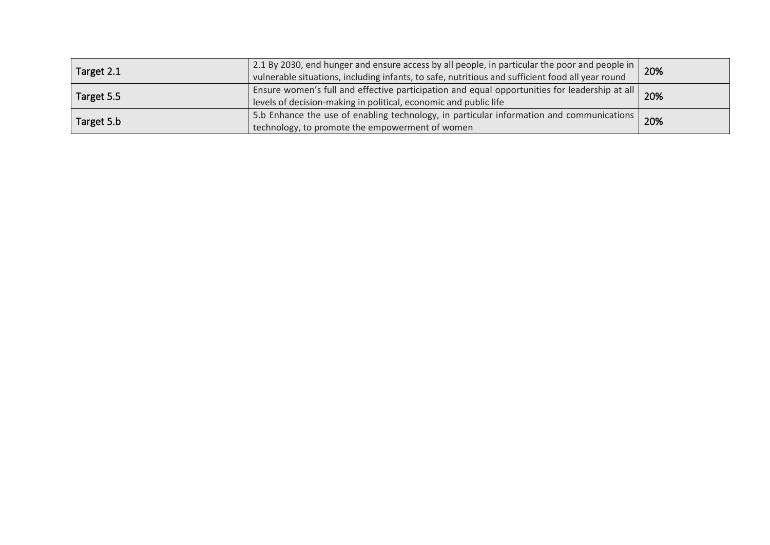| Target 2.1 | 2.1 By 2030, end hunger and ensure access by all people, in particular the poor and people in  <br>vulnerable situations, including infants, to safe, nutritious and sufficient food all year round | 20% |
|------------|-----------------------------------------------------------------------------------------------------------------------------------------------------------------------------------------------------|-----|
| Target 5.5 | Ensure women's full and effective participation and equal opportunities for leadership at all<br>levels of decision-making in political, economic and public life                                   | 20% |
| Target 5.b | 5.b Enhance the use of enabling technology, in particular information and communications<br>technology, to promote the empowerment of women                                                         | 20% |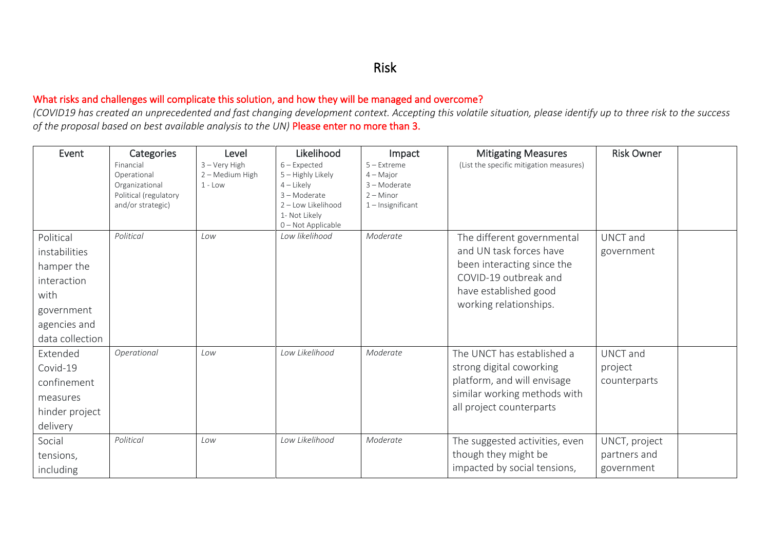### What risks and challenges will complicate this solution, and how they will be managed and overcome?

*(COVID19 has created an unprecedented and fast changing development context. Accepting this volatile situation, please identify up to three risk to the success of the proposal based on best available analysis to the UN)* Please enter no more than 3.

| Event                                                                                                            | Categories<br>Financial<br>Operational<br>Organizational<br>Political (regulatory<br>and/or strategic) | Level<br>3 - Very High<br>2 - Medium High<br>$1 - Low$ | Likelihood<br>$6$ – Expected<br>5 - Highly Likely<br>$4$ – Likely<br>3-Moderate<br>2 - Low Likelihood<br>1- Not Likely<br>0-Not Applicable | Impact<br>$5 -$ Extreme<br>$4 -$ Major<br>3-Moderate<br>$2 -$ Minor<br>$1$ – Insignificant | <b>Mitigating Measures</b><br>(List the specific mitigation measures)                                                                                           | <b>Risk Owner</b>                           |  |
|------------------------------------------------------------------------------------------------------------------|--------------------------------------------------------------------------------------------------------|--------------------------------------------------------|--------------------------------------------------------------------------------------------------------------------------------------------|--------------------------------------------------------------------------------------------|-----------------------------------------------------------------------------------------------------------------------------------------------------------------|---------------------------------------------|--|
| Political<br>instabilities<br>hamper the<br>interaction<br>with<br>government<br>agencies and<br>data collection | Political                                                                                              | Low                                                    | Low likelihood                                                                                                                             | Moderate                                                                                   | The different governmental<br>and UN task forces have<br>been interacting since the<br>COVID-19 outbreak and<br>have established good<br>working relationships. | UNCT and<br>government                      |  |
| Extended<br>Covid-19<br>confinement<br>measures<br>hinder project<br>delivery                                    | Operational                                                                                            | Low                                                    | Low Likelihood                                                                                                                             | Moderate                                                                                   | The UNCT has established a<br>strong digital coworking<br>platform, and will envisage<br>similar working methods with<br>all project counterparts               | UNCT and<br>project<br>counterparts         |  |
| Social<br>tensions,<br>including                                                                                 | Political                                                                                              | Low                                                    | Low Likelihood                                                                                                                             | Moderate                                                                                   | The suggested activities, even<br>though they might be<br>impacted by social tensions,                                                                          | UNCT, project<br>partners and<br>government |  |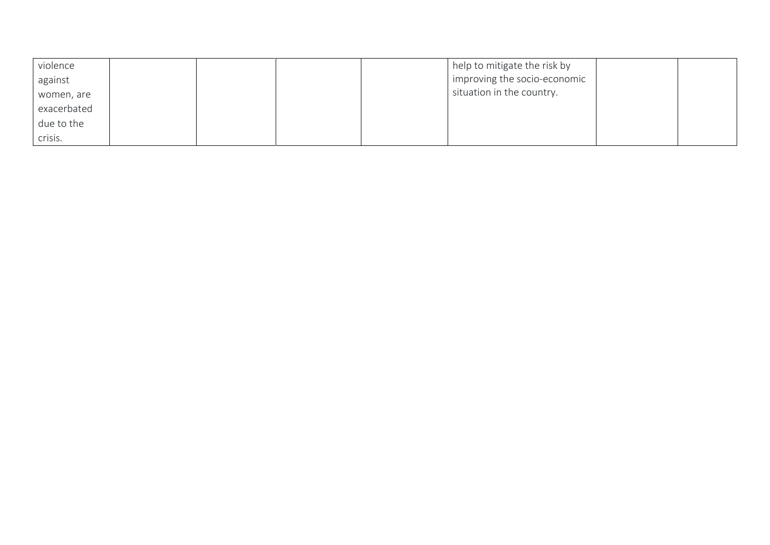| violence    |  |  | help to mitigate the risk by |  |
|-------------|--|--|------------------------------|--|
| against     |  |  | improving the socio-economic |  |
| women, are  |  |  | situation in the country.    |  |
| exacerbated |  |  |                              |  |
| due to the  |  |  |                              |  |
| crisis.     |  |  |                              |  |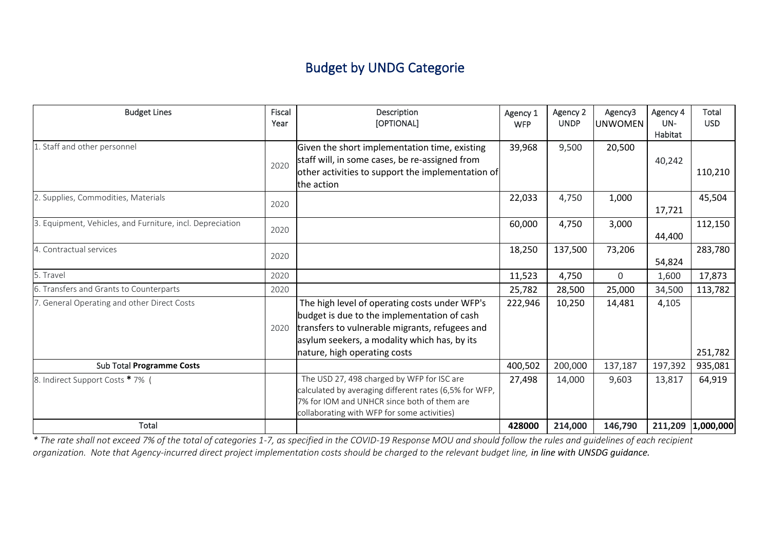# Budget by UNDG Categorie

| <b>Budget Lines</b>                                       | Fiscal<br>Year | Description<br>[OPTIONAL]                                                                                                                                                                                                      | Agency 1<br><b>WFP</b> | Agency 2<br><b>UNDP</b> | Agency3<br><b>UNWOMEN</b> | Agency 4<br>UN-<br>Habitat | Total<br><b>USD</b> |
|-----------------------------------------------------------|----------------|--------------------------------------------------------------------------------------------------------------------------------------------------------------------------------------------------------------------------------|------------------------|-------------------------|---------------------------|----------------------------|---------------------|
| 1. Staff and other personnel                              | 2020           | Given the short implementation time, existing<br>staff will, in some cases, be re-assigned from<br>other activities to support the implementation of<br>the action                                                             | 39,968                 | 9,500                   | 20,500                    | 40,242                     | 110,210             |
| 2. Supplies, Commodities, Materials                       | 2020           |                                                                                                                                                                                                                                | 22,033                 | 4,750                   | 1,000                     | 17,721                     | 45,504              |
| 3. Equipment, Vehicles, and Furniture, incl. Depreciation | 2020           |                                                                                                                                                                                                                                | 60,000                 | 4,750                   | 3,000                     | 44,400                     | 112,150             |
| 4. Contractual services                                   | 2020           |                                                                                                                                                                                                                                | 18,250                 | 137,500                 | 73,206                    | 54,824                     | 283,780             |
| 5. Travel                                                 | 2020           |                                                                                                                                                                                                                                | 11,523                 | 4,750                   | $\mathbf{0}$              | 1,600                      | 17,873              |
| 6. Transfers and Grants to Counterparts                   | 2020           |                                                                                                                                                                                                                                | 25,782                 | 28,500                  | 25,000                    | 34,500                     | 113,782             |
| 7. General Operating and other Direct Costs               | 2020           | The high level of operating costs under WFP's<br>budget is due to the implementation of cash<br>transfers to vulnerable migrants, refugees and<br>asylum seekers, a modality which has, by its<br>nature, high operating costs | 222,946                | 10,250                  | 14,481                    | 4,105                      | 251,782             |
| Sub Total Programme Costs                                 |                |                                                                                                                                                                                                                                | 400,502                | 200,000                 | 137,187                   | 197,392                    | 935,081             |
| 8. Indirect Support Costs * 7% (                          |                | The USD 27, 498 charged by WFP for ISC are<br>calculated by averaging different rates (6,5% for WFP,<br>7% for IOM and UNHCR since both of them are<br>collaborating with WFP for some activities)                             | 27,498                 | 14,000                  | 9,603                     | 13,817                     | 64,919              |
| Total                                                     |                |                                                                                                                                                                                                                                | 428000                 | 214,000                 | 146,790                   |                            | 211,209 1,000,000   |

*\* The rate shall not exceed 7% of the total of categories 1-7, as specified in the COVID-19 Response MOU and should follow the rules and guidelines of each recipient organization. Note that Agency-incurred direct project implementation costs should be charged to the relevant budget line, in line with UNSDG guidance.*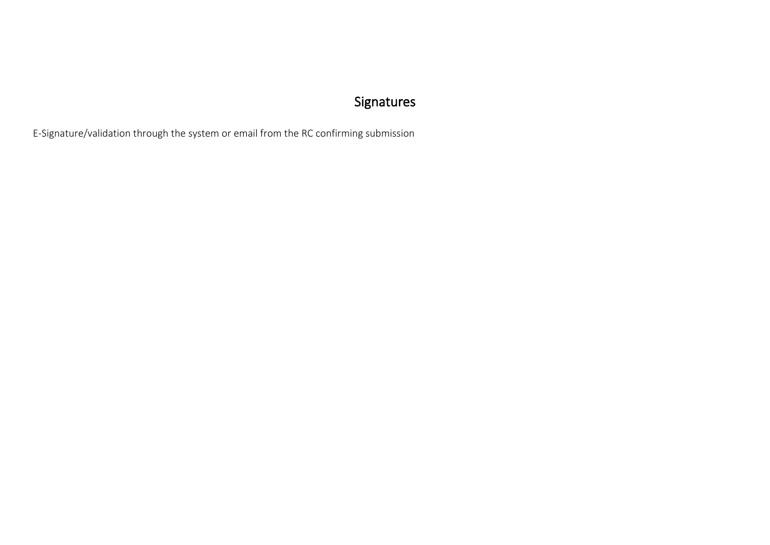# Signatures

E-Signature/validation through the system or email from the RC confirming submission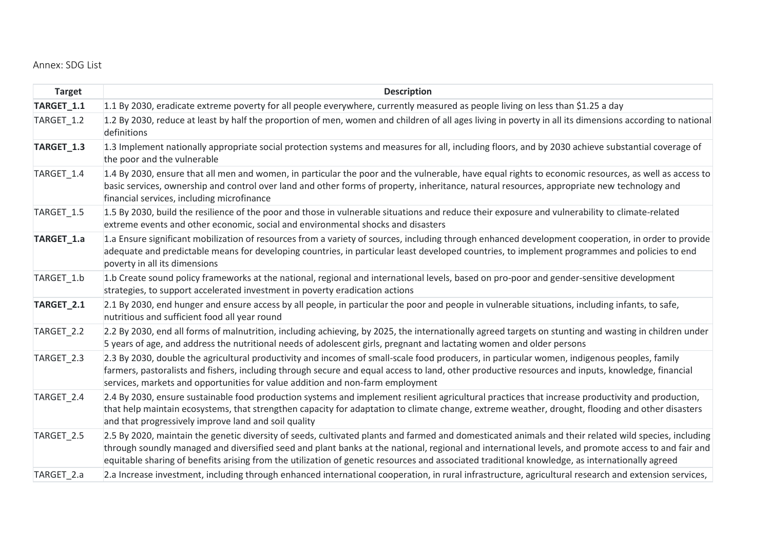#### <span id="page-32-0"></span>Annex: SDG List

| <b>Target</b> | <b>Description</b>                                                                                                                                                                                                                                                                                                                                                                                                                                              |
|---------------|-----------------------------------------------------------------------------------------------------------------------------------------------------------------------------------------------------------------------------------------------------------------------------------------------------------------------------------------------------------------------------------------------------------------------------------------------------------------|
| TARGET_1.1    | 1.1 By 2030, eradicate extreme poverty for all people everywhere, currently measured as people living on less than \$1.25 a day                                                                                                                                                                                                                                                                                                                                 |
| TARGET_1.2    | 1.2 By 2030, reduce at least by half the proportion of men, women and children of all ages living in poverty in all its dimensions according to national<br>definitions                                                                                                                                                                                                                                                                                         |
| TARGET_1.3    | 1.3 Implement nationally appropriate social protection systems and measures for all, including floors, and by 2030 achieve substantial coverage of<br>the poor and the vulnerable                                                                                                                                                                                                                                                                               |
| TARGET_1.4    | 1.4 By 2030, ensure that all men and women, in particular the poor and the vulnerable, have equal rights to economic resources, as well as access to<br>basic services, ownership and control over land and other forms of property, inheritance, natural resources, appropriate new technology and<br>financial services, including microfinance                                                                                                               |
| TARGET 1.5    | 1.5 By 2030, build the resilience of the poor and those in vulnerable situations and reduce their exposure and vulnerability to climate-related<br>extreme events and other economic, social and environmental shocks and disasters                                                                                                                                                                                                                             |
| TARGET_1.a    | 1.a Ensure significant mobilization of resources from a variety of sources, including through enhanced development cooperation, in order to provide<br>adequate and predictable means for developing countries, in particular least developed countries, to implement programmes and policies to end<br>poverty in all its dimensions                                                                                                                           |
| TARGET_1.b    | 1.b Create sound policy frameworks at the national, regional and international levels, based on pro-poor and gender-sensitive development<br>strategies, to support accelerated investment in poverty eradication actions                                                                                                                                                                                                                                       |
| TARGET_2.1    | 2.1 By 2030, end hunger and ensure access by all people, in particular the poor and people in vulnerable situations, including infants, to safe,<br>nutritious and sufficient food all year round                                                                                                                                                                                                                                                               |
| TARGET_2.2    | 2.2 By 2030, end all forms of malnutrition, including achieving, by 2025, the internationally agreed targets on stunting and wasting in children under<br>5 years of age, and address the nutritional needs of adolescent girls, pregnant and lactating women and older persons                                                                                                                                                                                 |
| TARGET_2.3    | 2.3 By 2030, double the agricultural productivity and incomes of small-scale food producers, in particular women, indigenous peoples, family<br>farmers, pastoralists and fishers, including through secure and equal access to land, other productive resources and inputs, knowledge, financial<br>services, markets and opportunities for value addition and non-farm employment                                                                             |
| TARGET_2.4    | 2.4 By 2030, ensure sustainable food production systems and implement resilient agricultural practices that increase productivity and production,<br>that help maintain ecosystems, that strengthen capacity for adaptation to climate change, extreme weather, drought, flooding and other disasters<br>and that progressively improve land and soil quality                                                                                                   |
| TARGET_2.5    | 2.5 By 2020, maintain the genetic diversity of seeds, cultivated plants and farmed and domesticated animals and their related wild species, including<br>through soundly managed and diversified seed and plant banks at the national, regional and international levels, and promote access to and fair and<br>equitable sharing of benefits arising from the utilization of genetic resources and associated traditional knowledge, as internationally agreed |
| TARGET_2.a    | 2.a Increase investment, including through enhanced international cooperation, in rural infrastructure, agricultural research and extension services,                                                                                                                                                                                                                                                                                                           |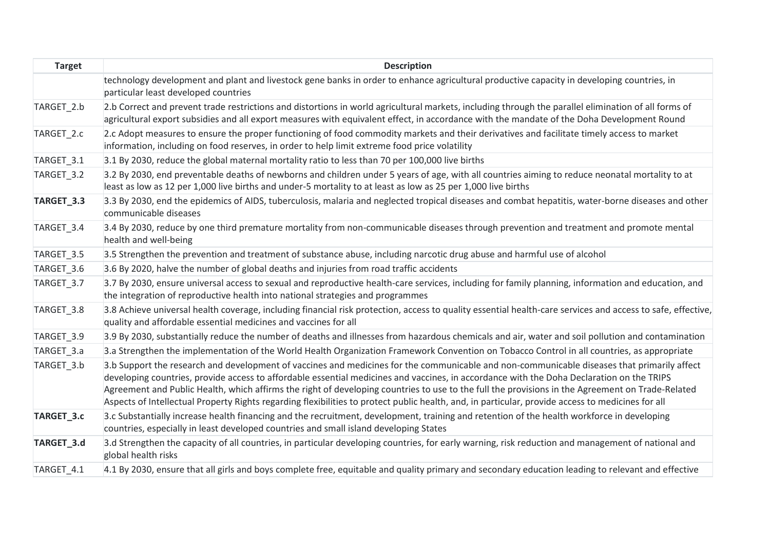| <b>Target</b> | <b>Description</b>                                                                                                                                                                                                                                                                                                                                                                                                                                                                                                                                                                                |
|---------------|---------------------------------------------------------------------------------------------------------------------------------------------------------------------------------------------------------------------------------------------------------------------------------------------------------------------------------------------------------------------------------------------------------------------------------------------------------------------------------------------------------------------------------------------------------------------------------------------------|
|               | technology development and plant and livestock gene banks in order to enhance agricultural productive capacity in developing countries, in<br>particular least developed countries                                                                                                                                                                                                                                                                                                                                                                                                                |
| TARGET 2.b    | 2.b Correct and prevent trade restrictions and distortions in world agricultural markets, including through the parallel elimination of all forms of<br>agricultural export subsidies and all export measures with equivalent effect, in accordance with the mandate of the Doha Development Round                                                                                                                                                                                                                                                                                                |
| TARGET 2.c    | 2.c Adopt measures to ensure the proper functioning of food commodity markets and their derivatives and facilitate timely access to market<br>information, including on food reserves, in order to help limit extreme food price volatility                                                                                                                                                                                                                                                                                                                                                       |
| TARGET_3.1    | 3.1 By 2030, reduce the global maternal mortality ratio to less than 70 per 100,000 live births                                                                                                                                                                                                                                                                                                                                                                                                                                                                                                   |
| TARGET_3.2    | 3.2 By 2030, end preventable deaths of newborns and children under 5 years of age, with all countries aiming to reduce neonatal mortality to at<br>least as low as 12 per 1,000 live births and under-5 mortality to at least as low as 25 per 1,000 live births                                                                                                                                                                                                                                                                                                                                  |
| TARGET_3.3    | 3.3 By 2030, end the epidemics of AIDS, tuberculosis, malaria and neglected tropical diseases and combat hepatitis, water-borne diseases and other<br>communicable diseases                                                                                                                                                                                                                                                                                                                                                                                                                       |
| TARGET_3.4    | 3.4 By 2030, reduce by one third premature mortality from non-communicable diseases through prevention and treatment and promote mental<br>health and well-being                                                                                                                                                                                                                                                                                                                                                                                                                                  |
| TARGET_3.5    | 3.5 Strengthen the prevention and treatment of substance abuse, including narcotic drug abuse and harmful use of alcohol                                                                                                                                                                                                                                                                                                                                                                                                                                                                          |
| TARGET_3.6    | 3.6 By 2020, halve the number of global deaths and injuries from road traffic accidents                                                                                                                                                                                                                                                                                                                                                                                                                                                                                                           |
| TARGET_3.7    | 3.7 By 2030, ensure universal access to sexual and reproductive health-care services, including for family planning, information and education, and<br>the integration of reproductive health into national strategies and programmes                                                                                                                                                                                                                                                                                                                                                             |
| TARGET_3.8    | 3.8 Achieve universal health coverage, including financial risk protection, access to quality essential health-care services and access to safe, effective,<br>quality and affordable essential medicines and vaccines for all                                                                                                                                                                                                                                                                                                                                                                    |
| TARGET 3.9    | 3.9 By 2030, substantially reduce the number of deaths and illnesses from hazardous chemicals and air, water and soil pollution and contamination                                                                                                                                                                                                                                                                                                                                                                                                                                                 |
| TARGET_3.a    | 3.a Strengthen the implementation of the World Health Organization Framework Convention on Tobacco Control in all countries, as appropriate                                                                                                                                                                                                                                                                                                                                                                                                                                                       |
| TARGET 3.b    | 3.b Support the research and development of vaccines and medicines for the communicable and non-communicable diseases that primarily affect<br>developing countries, provide access to affordable essential medicines and vaccines, in accordance with the Doha Declaration on the TRIPS<br>Agreement and Public Health, which affirms the right of developing countries to use to the full the provisions in the Agreement on Trade-Related<br>Aspects of Intellectual Property Rights regarding flexibilities to protect public health, and, in particular, provide access to medicines for all |
| TARGET_3.c    | 3.c Substantially increase health financing and the recruitment, development, training and retention of the health workforce in developing<br>countries, especially in least developed countries and small island developing States                                                                                                                                                                                                                                                                                                                                                               |
| TARGET_3.d    | 3.d Strengthen the capacity of all countries, in particular developing countries, for early warning, risk reduction and management of national and<br>global health risks                                                                                                                                                                                                                                                                                                                                                                                                                         |
| TARGET 4.1    | 4.1 By 2030, ensure that all girls and boys complete free, equitable and quality primary and secondary education leading to relevant and effective                                                                                                                                                                                                                                                                                                                                                                                                                                                |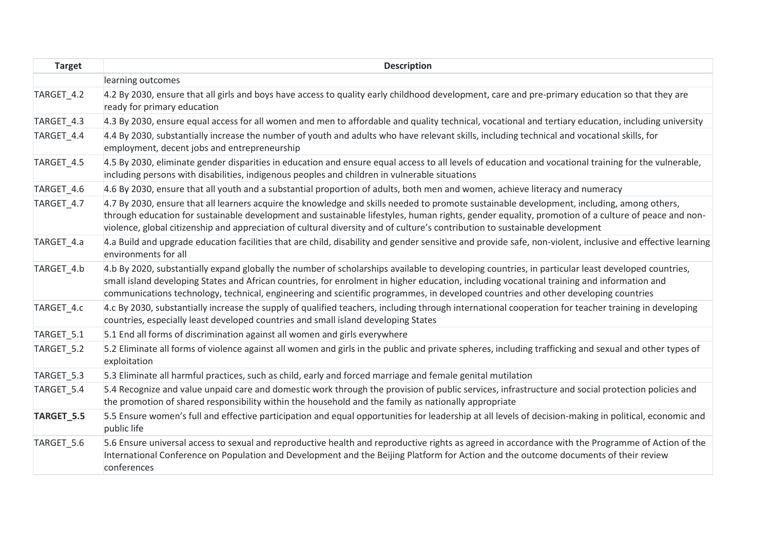| <b>Target</b> | <b>Description</b>                                                                                                                                                                                                                                                                                                                                                                                                                    |
|---------------|---------------------------------------------------------------------------------------------------------------------------------------------------------------------------------------------------------------------------------------------------------------------------------------------------------------------------------------------------------------------------------------------------------------------------------------|
|               | learning outcomes                                                                                                                                                                                                                                                                                                                                                                                                                     |
| TARGET_4.2    | 4.2 By 2030, ensure that all girls and boys have access to quality early childhood development, care and pre-primary education so that they are<br>ready for primary education                                                                                                                                                                                                                                                        |
| TARGET 4.3    | 4.3 By 2030, ensure equal access for all women and men to affordable and quality technical, vocational and tertiary education, including university                                                                                                                                                                                                                                                                                   |
| TARGET_4.4    | 4.4 By 2030, substantially increase the number of youth and adults who have relevant skills, including technical and vocational skills, for<br>employment, decent jobs and entrepreneurship                                                                                                                                                                                                                                           |
| TARGET_4.5    | 4.5 By 2030, eliminate gender disparities in education and ensure equal access to all levels of education and vocational training for the vulnerable,<br>including persons with disabilities, indigenous peoples and children in vulnerable situations                                                                                                                                                                                |
| TARGET_4.6    | 4.6 By 2030, ensure that all youth and a substantial proportion of adults, both men and women, achieve literacy and numeracy                                                                                                                                                                                                                                                                                                          |
| TARGET_4.7    | 4.7 By 2030, ensure that all learners acquire the knowledge and skills needed to promote sustainable development, including, among others,<br>through education for sustainable development and sustainable lifestyles, human rights, gender equality, promotion of a culture of peace and non-<br>violence, global citizenship and appreciation of cultural diversity and of culture's contribution to sustainable development       |
| TARGET_4.a    | 4.a Build and upgrade education facilities that are child, disability and gender sensitive and provide safe, non-violent, inclusive and effective learning<br>environments for all                                                                                                                                                                                                                                                    |
| TARGET 4.b    | 4.b By 2020, substantially expand globally the number of scholarships available to developing countries, in particular least developed countries,<br>small island developing States and African countries, for enrolment in higher education, including vocational training and information and<br>communications technology, technical, engineering and scientific programmes, in developed countries and other developing countries |
| TARGET_4.c    | 4.c By 2030, substantially increase the supply of qualified teachers, including through international cooperation for teacher training in developing<br>countries, especially least developed countries and small island developing States                                                                                                                                                                                            |
| TARGET_5.1    | 5.1 End all forms of discrimination against all women and girls everywhere                                                                                                                                                                                                                                                                                                                                                            |
| TARGET_5.2    | 5.2 Eliminate all forms of violence against all women and girls in the public and private spheres, including trafficking and sexual and other types of<br>exploitation                                                                                                                                                                                                                                                                |
| TARGET_5.3    | 5.3 Eliminate all harmful practices, such as child, early and forced marriage and female genital mutilation                                                                                                                                                                                                                                                                                                                           |
| TARGET_5.4    | 5.4 Recognize and value unpaid care and domestic work through the provision of public services, infrastructure and social protection policies and<br>the promotion of shared responsibility within the household and the family as nationally appropriate                                                                                                                                                                             |
| TARGET_5.5    | 5.5 Ensure women's full and effective participation and equal opportunities for leadership at all levels of decision-making in political, economic and<br>public life                                                                                                                                                                                                                                                                 |
| TARGET_5.6    | 5.6 Ensure universal access to sexual and reproductive health and reproductive rights as agreed in accordance with the Programme of Action of the<br>International Conference on Population and Development and the Beijing Platform for Action and the outcome documents of their review<br>conferences                                                                                                                              |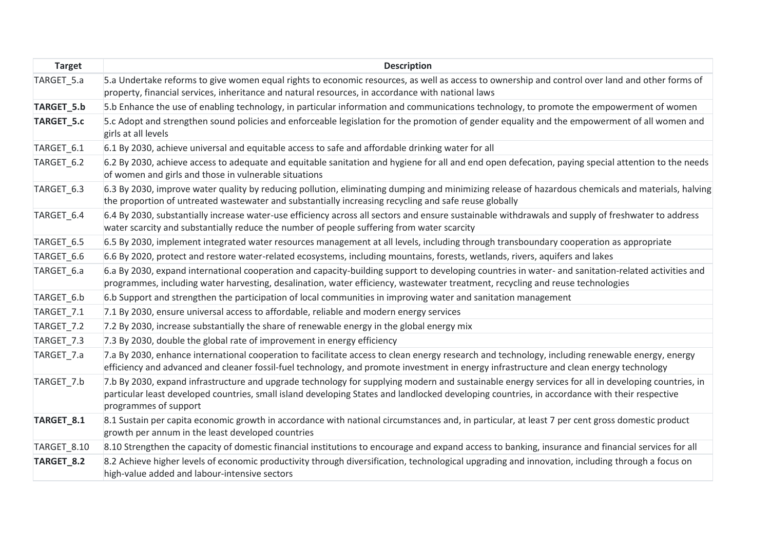| <b>Target</b>         | <b>Description</b>                                                                                                                                                                                                                                                                                                           |
|-----------------------|------------------------------------------------------------------------------------------------------------------------------------------------------------------------------------------------------------------------------------------------------------------------------------------------------------------------------|
| TARGET_5.a            | 5.a Undertake reforms to give women equal rights to economic resources, as well as access to ownership and control over land and other forms of<br>property, financial services, inheritance and natural resources, in accordance with national laws                                                                         |
| TARGET_5.b            | 5.b Enhance the use of enabling technology, in particular information and communications technology, to promote the empowerment of women                                                                                                                                                                                     |
| TARGET_5.c            | 5.c Adopt and strengthen sound policies and enforceable legislation for the promotion of gender equality and the empowerment of all women and<br>girls at all levels                                                                                                                                                         |
| TARGET 6.1            | 6.1 By 2030, achieve universal and equitable access to safe and affordable drinking water for all                                                                                                                                                                                                                            |
| TARGET <sub>6.2</sub> | 6.2 By 2030, achieve access to adequate and equitable sanitation and hygiene for all and end open defecation, paying special attention to the needs<br>of women and girls and those in vulnerable situations                                                                                                                 |
| TARGET_6.3            | 6.3 By 2030, improve water quality by reducing pollution, eliminating dumping and minimizing release of hazardous chemicals and materials, halving<br>the proportion of untreated wastewater and substantially increasing recycling and safe reuse globally                                                                  |
| TARGET 6.4            | 6.4 By 2030, substantially increase water-use efficiency across all sectors and ensure sustainable withdrawals and supply of freshwater to address<br>water scarcity and substantially reduce the number of people suffering from water scarcity                                                                             |
| TARGET_6.5            | 6.5 By 2030, implement integrated water resources management at all levels, including through transboundary cooperation as appropriate                                                                                                                                                                                       |
| TARGET_6.6            | 6.6 By 2020, protect and restore water-related ecosystems, including mountains, forests, wetlands, rivers, aquifers and lakes                                                                                                                                                                                                |
| TARGET 6.a            | 6.a By 2030, expand international cooperation and capacity-building support to developing countries in water- and sanitation-related activities and<br>programmes, including water harvesting, desalination, water efficiency, wastewater treatment, recycling and reuse technologies                                        |
| TARGET_6.b            | 6.b Support and strengthen the participation of local communities in improving water and sanitation management                                                                                                                                                                                                               |
| TARGET_7.1            | 7.1 By 2030, ensure universal access to affordable, reliable and modern energy services                                                                                                                                                                                                                                      |
| TARGET_7.2            | 7.2 By 2030, increase substantially the share of renewable energy in the global energy mix                                                                                                                                                                                                                                   |
| TARGET_7.3            | 7.3 By 2030, double the global rate of improvement in energy efficiency                                                                                                                                                                                                                                                      |
| TARGET_7.a            | 7.a By 2030, enhance international cooperation to facilitate access to clean energy research and technology, including renewable energy, energy<br>efficiency and advanced and cleaner fossil-fuel technology, and promote investment in energy infrastructure and clean energy technology                                   |
| TARGET_7.b            | 7.b By 2030, expand infrastructure and upgrade technology for supplying modern and sustainable energy services for all in developing countries, in<br>particular least developed countries, small island developing States and landlocked developing countries, in accordance with their respective<br>programmes of support |
| TARGET_8.1            | 8.1 Sustain per capita economic growth in accordance with national circumstances and, in particular, at least 7 per cent gross domestic product<br>growth per annum in the least developed countries                                                                                                                         |
| TARGET 8.10           | 8.10 Strengthen the capacity of domestic financial institutions to encourage and expand access to banking, insurance and financial services for all                                                                                                                                                                          |
| TARGET_8.2            | 8.2 Achieve higher levels of economic productivity through diversification, technological upgrading and innovation, including through a focus on<br>high-value added and labour-intensive sectors                                                                                                                            |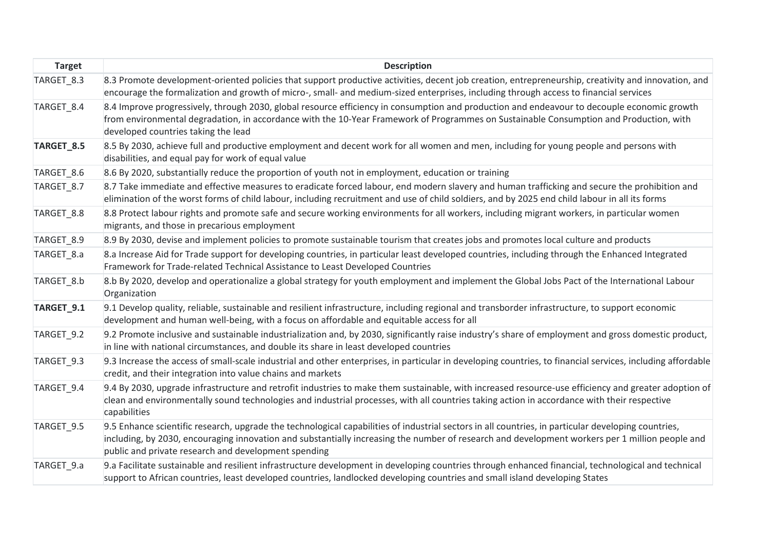| <b>Target</b> | <b>Description</b>                                                                                                                                                                                                                                                                                                                                             |
|---------------|----------------------------------------------------------------------------------------------------------------------------------------------------------------------------------------------------------------------------------------------------------------------------------------------------------------------------------------------------------------|
| TARGET_8.3    | 8.3 Promote development-oriented policies that support productive activities, decent job creation, entrepreneurship, creativity and innovation, and<br>encourage the formalization and growth of micro-, small- and medium-sized enterprises, including through access to financial services                                                                   |
| TARGET_8.4    | 8.4 Improve progressively, through 2030, global resource efficiency in consumption and production and endeavour to decouple economic growth<br>from environmental degradation, in accordance with the 10-Year Framework of Programmes on Sustainable Consumption and Production, with<br>developed countries taking the lead                                   |
| TARGET_8.5    | 8.5 By 2030, achieve full and productive employment and decent work for all women and men, including for young people and persons with<br>disabilities, and equal pay for work of equal value                                                                                                                                                                  |
| TARGET_8.6    | 8.6 By 2020, substantially reduce the proportion of youth not in employment, education or training                                                                                                                                                                                                                                                             |
| TARGET 8.7    | 8.7 Take immediate and effective measures to eradicate forced labour, end modern slavery and human trafficking and secure the prohibition and<br>elimination of the worst forms of child labour, including recruitment and use of child soldiers, and by 2025 end child labour in all its forms                                                                |
| TARGET_8.8    | 8.8 Protect labour rights and promote safe and secure working environments for all workers, including migrant workers, in particular women<br>migrants, and those in precarious employment                                                                                                                                                                     |
| TARGET_8.9    | 8.9 By 2030, devise and implement policies to promote sustainable tourism that creates jobs and promotes local culture and products                                                                                                                                                                                                                            |
| TARGET_8.a    | 8.a Increase Aid for Trade support for developing countries, in particular least developed countries, including through the Enhanced Integrated<br>Framework for Trade-related Technical Assistance to Least Developed Countries                                                                                                                               |
| TARGET_8.b    | 8.b By 2020, develop and operationalize a global strategy for youth employment and implement the Global Jobs Pact of the International Labour<br>Organization                                                                                                                                                                                                  |
| TARGET_9.1    | 9.1 Develop quality, reliable, sustainable and resilient infrastructure, including regional and transborder infrastructure, to support economic<br>development and human well-being, with a focus on affordable and equitable access for all                                                                                                                   |
| TARGET_9.2    | 9.2 Promote inclusive and sustainable industrialization and, by 2030, significantly raise industry's share of employment and gross domestic product,<br>in line with national circumstances, and double its share in least developed countries                                                                                                                 |
| TARGET 9.3    | 9.3 Increase the access of small-scale industrial and other enterprises, in particular in developing countries, to financial services, including affordable<br>credit, and their integration into value chains and markets                                                                                                                                     |
| TARGET_9.4    | 9.4 By 2030, upgrade infrastructure and retrofit industries to make them sustainable, with increased resource-use efficiency and greater adoption of<br>clean and environmentally sound technologies and industrial processes, with all countries taking action in accordance with their respective<br>capabilities                                            |
| TARGET 9.5    | 9.5 Enhance scientific research, upgrade the technological capabilities of industrial sectors in all countries, in particular developing countries,<br>including, by 2030, encouraging innovation and substantially increasing the number of research and development workers per 1 million people and<br>public and private research and development spending |
| TARGET 9.a    | 9.a Facilitate sustainable and resilient infrastructure development in developing countries through enhanced financial, technological and technical<br>support to African countries, least developed countries, landlocked developing countries and small island developing States                                                                             |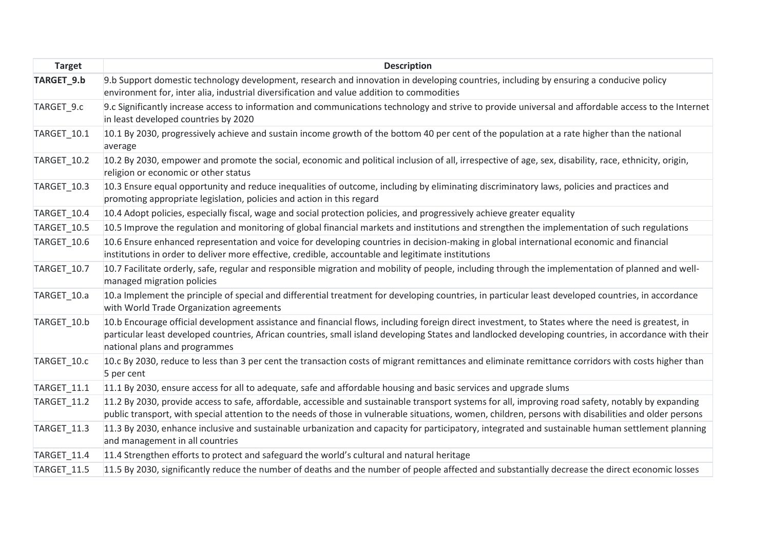| <b>Target</b> | <b>Description</b>                                                                                                                                                                                                                                                                                                                          |
|---------------|---------------------------------------------------------------------------------------------------------------------------------------------------------------------------------------------------------------------------------------------------------------------------------------------------------------------------------------------|
| TARGET_9.b    | 9.b Support domestic technology development, research and innovation in developing countries, including by ensuring a conducive policy<br>environment for, inter alia, industrial diversification and value addition to commodities                                                                                                         |
| TARGET_9.c    | 9.c Significantly increase access to information and communications technology and strive to provide universal and affordable access to the Internet<br>in least developed countries by 2020                                                                                                                                                |
| TARGET 10.1   | 10.1 By 2030, progressively achieve and sustain income growth of the bottom 40 per cent of the population at a rate higher than the national<br>average                                                                                                                                                                                     |
| TARGET_10.2   | 10.2 By 2030, empower and promote the social, economic and political inclusion of all, irrespective of age, sex, disability, race, ethnicity, origin,<br>religion or economic or other status                                                                                                                                               |
| TARGET_10.3   | 10.3 Ensure equal opportunity and reduce inequalities of outcome, including by eliminating discriminatory laws, policies and practices and<br>promoting appropriate legislation, policies and action in this regard                                                                                                                         |
| TARGET_10.4   | 10.4 Adopt policies, especially fiscal, wage and social protection policies, and progressively achieve greater equality                                                                                                                                                                                                                     |
| TARGET_10.5   | 10.5 Improve the regulation and monitoring of global financial markets and institutions and strengthen the implementation of such regulations                                                                                                                                                                                               |
| TARGET_10.6   | 10.6 Ensure enhanced representation and voice for developing countries in decision-making in global international economic and financial<br>institutions in order to deliver more effective, credible, accountable and legitimate institutions                                                                                              |
| TARGET 10.7   | 10.7 Facilitate orderly, safe, regular and responsible migration and mobility of people, including through the implementation of planned and well-<br>managed migration policies                                                                                                                                                            |
| TARGET_10.a   | 10.a Implement the principle of special and differential treatment for developing countries, in particular least developed countries, in accordance<br>with World Trade Organization agreements                                                                                                                                             |
| TARGET_10.b   | 10.b Encourage official development assistance and financial flows, including foreign direct investment, to States where the need is greatest, in<br>particular least developed countries, African countries, small island developing States and landlocked developing countries, in accordance with their<br>national plans and programmes |
| TARGET_10.c   | 10.c By 2030, reduce to less than 3 per cent the transaction costs of migrant remittances and eliminate remittance corridors with costs higher than<br>5 per cent                                                                                                                                                                           |
| TARGET 11.1   | 11.1 By 2030, ensure access for all to adequate, safe and affordable housing and basic services and upgrade slums                                                                                                                                                                                                                           |
| TARGET_11.2   | 11.2 By 2030, provide access to safe, affordable, accessible and sustainable transport systems for all, improving road safety, notably by expanding<br>public transport, with special attention to the needs of those in vulnerable situations, women, children, persons with disabilities and older persons                                |
| TARGET 11.3   | 11.3 By 2030, enhance inclusive and sustainable urbanization and capacity for participatory, integrated and sustainable human settlement planning<br>and management in all countries                                                                                                                                                        |
| TARGET_11.4   | 11.4 Strengthen efforts to protect and safeguard the world's cultural and natural heritage                                                                                                                                                                                                                                                  |
| TARGET 11.5   | 11.5 By 2030, significantly reduce the number of deaths and the number of people affected and substantially decrease the direct economic losses                                                                                                                                                                                             |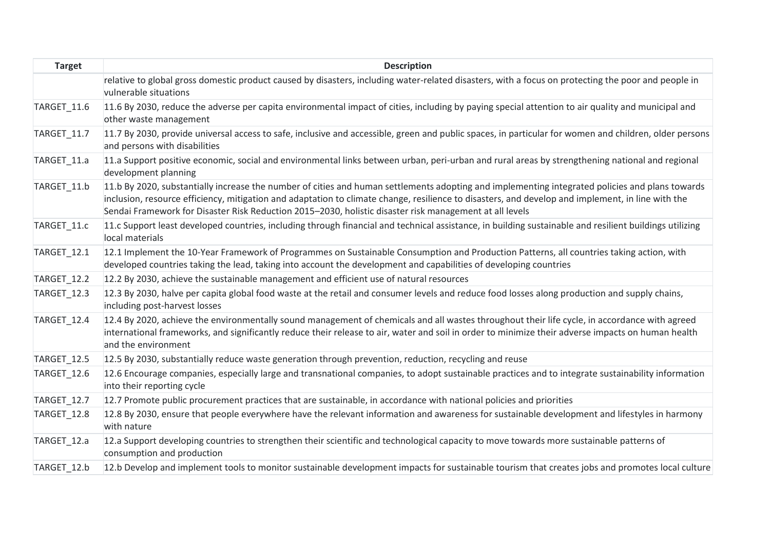| <b>Target</b>      | <b>Description</b>                                                                                                                                                                                                                                                                                                                                                                                              |
|--------------------|-----------------------------------------------------------------------------------------------------------------------------------------------------------------------------------------------------------------------------------------------------------------------------------------------------------------------------------------------------------------------------------------------------------------|
|                    | relative to global gross domestic product caused by disasters, including water-related disasters, with a focus on protecting the poor and people in<br>vulnerable situations                                                                                                                                                                                                                                    |
| TARGET_11.6        | 11.6 By 2030, reduce the adverse per capita environmental impact of cities, including by paying special attention to air quality and municipal and<br>other waste management                                                                                                                                                                                                                                    |
| TARGET_11.7        | 11.7 By 2030, provide universal access to safe, inclusive and accessible, green and public spaces, in particular for women and children, older persons<br>and persons with disabilities                                                                                                                                                                                                                         |
| TARGET_11.a        | 11.a Support positive economic, social and environmental links between urban, peri-urban and rural areas by strengthening national and regional<br>development planning                                                                                                                                                                                                                                         |
| TARGET_11.b        | 11.b By 2020, substantially increase the number of cities and human settlements adopting and implementing integrated policies and plans towards<br>inclusion, resource efficiency, mitigation and adaptation to climate change, resilience to disasters, and develop and implement, in line with the<br>Sendai Framework for Disaster Risk Reduction 2015-2030, holistic disaster risk management at all levels |
| TARGET_11.c        | 11.c Support least developed countries, including through financial and technical assistance, in building sustainable and resilient buildings utilizing<br>local materials                                                                                                                                                                                                                                      |
| TARGET_12.1        | 12.1 Implement the 10-Year Framework of Programmes on Sustainable Consumption and Production Patterns, all countries taking action, with<br>developed countries taking the lead, taking into account the development and capabilities of developing countries                                                                                                                                                   |
| <b>TARGET_12.2</b> | 12.2 By 2030, achieve the sustainable management and efficient use of natural resources                                                                                                                                                                                                                                                                                                                         |
| TARGET_12.3        | 12.3 By 2030, halve per capita global food waste at the retail and consumer levels and reduce food losses along production and supply chains,<br>including post-harvest losses                                                                                                                                                                                                                                  |
| TARGET_12.4        | 12.4 By 2020, achieve the environmentally sound management of chemicals and all wastes throughout their life cycle, in accordance with agreed<br>international frameworks, and significantly reduce their release to air, water and soil in order to minimize their adverse impacts on human health<br>and the environment                                                                                      |
| TARGET_12.5        | 12.5 By 2030, substantially reduce waste generation through prevention, reduction, recycling and reuse                                                                                                                                                                                                                                                                                                          |
| TARGET_12.6        | 12.6 Encourage companies, especially large and transnational companies, to adopt sustainable practices and to integrate sustainability information<br>into their reporting cycle                                                                                                                                                                                                                                |
| TARGET_12.7        | 12.7 Promote public procurement practices that are sustainable, in accordance with national policies and priorities                                                                                                                                                                                                                                                                                             |
| TARGET_12.8        | 12.8 By 2030, ensure that people everywhere have the relevant information and awareness for sustainable development and lifestyles in harmony<br>with nature                                                                                                                                                                                                                                                    |
| TARGET_12.a        | 12.a Support developing countries to strengthen their scientific and technological capacity to move towards more sustainable patterns of<br>consumption and production                                                                                                                                                                                                                                          |
| TARGET 12.b        | 12.b Develop and implement tools to monitor sustainable development impacts for sustainable tourism that creates jobs and promotes local culture                                                                                                                                                                                                                                                                |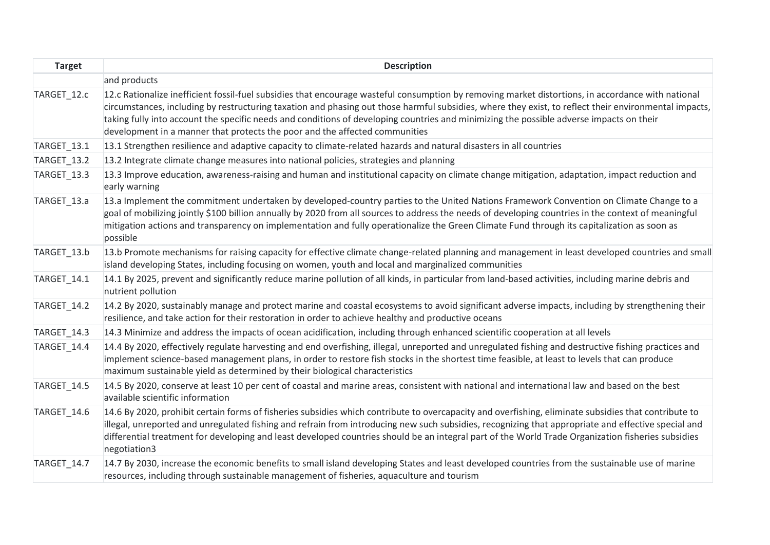| <b>Target</b>      | <b>Description</b>                                                                                                                                                                                                                                                                                                                                                                                                                                                                                                                     |
|--------------------|----------------------------------------------------------------------------------------------------------------------------------------------------------------------------------------------------------------------------------------------------------------------------------------------------------------------------------------------------------------------------------------------------------------------------------------------------------------------------------------------------------------------------------------|
|                    | and products                                                                                                                                                                                                                                                                                                                                                                                                                                                                                                                           |
| TARGET_12.c        | 12.c Rationalize inefficient fossil-fuel subsidies that encourage wasteful consumption by removing market distortions, in accordance with national<br>circumstances, including by restructuring taxation and phasing out those harmful subsidies, where they exist, to reflect their environmental impacts,<br>taking fully into account the specific needs and conditions of developing countries and minimizing the possible adverse impacts on their<br>development in a manner that protects the poor and the affected communities |
| TARGET_13.1        | 13.1 Strengthen resilience and adaptive capacity to climate-related hazards and natural disasters in all countries                                                                                                                                                                                                                                                                                                                                                                                                                     |
| <b>TARGET_13.2</b> | 13.2 Integrate climate change measures into national policies, strategies and planning                                                                                                                                                                                                                                                                                                                                                                                                                                                 |
| TARGET_13.3        | 13.3 Improve education, awareness-raising and human and institutional capacity on climate change mitigation, adaptation, impact reduction and<br>early warning                                                                                                                                                                                                                                                                                                                                                                         |
| TARGET_13.a        | 13.a Implement the commitment undertaken by developed-country parties to the United Nations Framework Convention on Climate Change to a<br>goal of mobilizing jointly \$100 billion annually by 2020 from all sources to address the needs of developing countries in the context of meaningful<br>mitigation actions and transparency on implementation and fully operationalize the Green Climate Fund through its capitalization as soon as<br>possible                                                                             |
| TARGET_13.b        | 13.b Promote mechanisms for raising capacity for effective climate change-related planning and management in least developed countries and small<br>island developing States, including focusing on women, youth and local and marginalized communities                                                                                                                                                                                                                                                                                |
| TARGET_14.1        | 14.1 By 2025, prevent and significantly reduce marine pollution of all kinds, in particular from land-based activities, including marine debris and<br>nutrient pollution                                                                                                                                                                                                                                                                                                                                                              |
| <b>TARGET_14.2</b> | 14.2 By 2020, sustainably manage and protect marine and coastal ecosystems to avoid significant adverse impacts, including by strengthening their<br>resilience, and take action for their restoration in order to achieve healthy and productive oceans                                                                                                                                                                                                                                                                               |
| TARGET_14.3        | 14.3 Minimize and address the impacts of ocean acidification, including through enhanced scientific cooperation at all levels                                                                                                                                                                                                                                                                                                                                                                                                          |
| TARGET_14.4        | 14.4 By 2020, effectively regulate harvesting and end overfishing, illegal, unreported and unregulated fishing and destructive fishing practices and<br>implement science-based management plans, in order to restore fish stocks in the shortest time feasible, at least to levels that can produce<br>maximum sustainable yield as determined by their biological characteristics                                                                                                                                                    |
| TARGET 14.5        | 14.5 By 2020, conserve at least 10 per cent of coastal and marine areas, consistent with national and international law and based on the best<br>available scientific information                                                                                                                                                                                                                                                                                                                                                      |
| TARGET 14.6        | 14.6 By 2020, prohibit certain forms of fisheries subsidies which contribute to overcapacity and overfishing, eliminate subsidies that contribute to<br>illegal, unreported and unregulated fishing and refrain from introducing new such subsidies, recognizing that appropriate and effective special and<br>differential treatment for developing and least developed countries should be an integral part of the World Trade Organization fisheries subsidies<br>negotiation3                                                      |
| TARGET 14.7        | 14.7 By 2030, increase the economic benefits to small island developing States and least developed countries from the sustainable use of marine<br>resources, including through sustainable management of fisheries, aquaculture and tourism                                                                                                                                                                                                                                                                                           |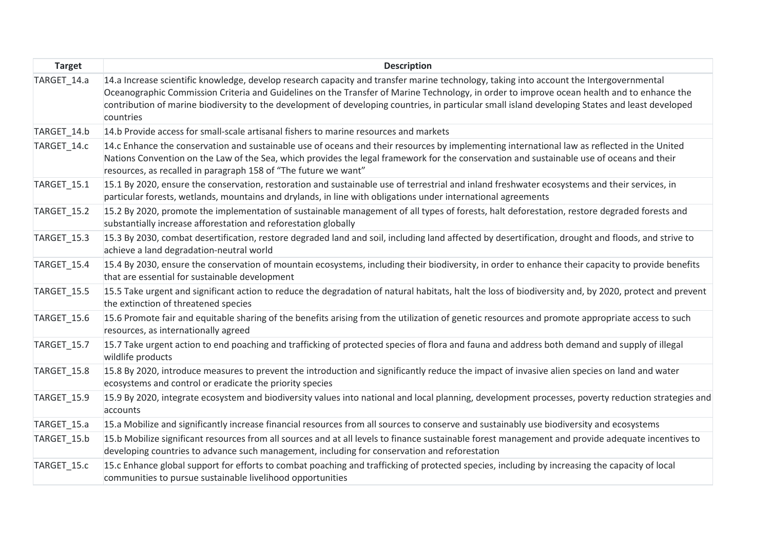| <b>Target</b>      | <b>Description</b>                                                                                                                                                                                                                                                                                                                                                                                                                                     |
|--------------------|--------------------------------------------------------------------------------------------------------------------------------------------------------------------------------------------------------------------------------------------------------------------------------------------------------------------------------------------------------------------------------------------------------------------------------------------------------|
| TARGET_14.a        | 14.a Increase scientific knowledge, develop research capacity and transfer marine technology, taking into account the Intergovernmental<br>Oceanographic Commission Criteria and Guidelines on the Transfer of Marine Technology, in order to improve ocean health and to enhance the<br>contribution of marine biodiversity to the development of developing countries, in particular small island developing States and least developed<br>countries |
| TARGET 14.b        | 14.b Provide access for small-scale artisanal fishers to marine resources and markets                                                                                                                                                                                                                                                                                                                                                                  |
| TARGET_14.c        | 14.c Enhance the conservation and sustainable use of oceans and their resources by implementing international law as reflected in the United<br>Nations Convention on the Law of the Sea, which provides the legal framework for the conservation and sustainable use of oceans and their<br>resources, as recalled in paragraph 158 of "The future we want"                                                                                           |
| TARGET_15.1        | 15.1 By 2020, ensure the conservation, restoration and sustainable use of terrestrial and inland freshwater ecosystems and their services, in<br>particular forests, wetlands, mountains and drylands, in line with obligations under international agreements                                                                                                                                                                                         |
| <b>TARGET_15.2</b> | 15.2 By 2020, promote the implementation of sustainable management of all types of forests, halt deforestation, restore degraded forests and<br>substantially increase afforestation and reforestation globally                                                                                                                                                                                                                                        |
| TARGET 15.3        | 15.3 By 2030, combat desertification, restore degraded land and soil, including land affected by desertification, drought and floods, and strive to<br>achieve a land degradation-neutral world                                                                                                                                                                                                                                                        |
| TARGET_15.4        | 15.4 By 2030, ensure the conservation of mountain ecosystems, including their biodiversity, in order to enhance their capacity to provide benefits<br>that are essential for sustainable development                                                                                                                                                                                                                                                   |
| TARGET_15.5        | 15.5 Take urgent and significant action to reduce the degradation of natural habitats, halt the loss of biodiversity and, by 2020, protect and prevent<br>the extinction of threatened species                                                                                                                                                                                                                                                         |
| TARGET 15.6        | 15.6 Promote fair and equitable sharing of the benefits arising from the utilization of genetic resources and promote appropriate access to such<br>resources, as internationally agreed                                                                                                                                                                                                                                                               |
| TARGET_15.7        | 15.7 Take urgent action to end poaching and trafficking of protected species of flora and fauna and address both demand and supply of illegal<br>wildlife products                                                                                                                                                                                                                                                                                     |
| TARGET_15.8        | 15.8 By 2020, introduce measures to prevent the introduction and significantly reduce the impact of invasive alien species on land and water<br>ecosystems and control or eradicate the priority species                                                                                                                                                                                                                                               |
| TARGET 15.9        | 15.9 By 2020, integrate ecosystem and biodiversity values into national and local planning, development processes, poverty reduction strategies and<br>accounts                                                                                                                                                                                                                                                                                        |
| TARGET_15.a        | 15.a Mobilize and significantly increase financial resources from all sources to conserve and sustainably use biodiversity and ecosystems                                                                                                                                                                                                                                                                                                              |
| TARGET_15.b        | 15.b Mobilize significant resources from all sources and at all levels to finance sustainable forest management and provide adequate incentives to<br>developing countries to advance such management, including for conservation and reforestation                                                                                                                                                                                                    |
| TARGET_15.c        | 15.c Enhance global support for efforts to combat poaching and trafficking of protected species, including by increasing the capacity of local<br>communities to pursue sustainable livelihood opportunities                                                                                                                                                                                                                                           |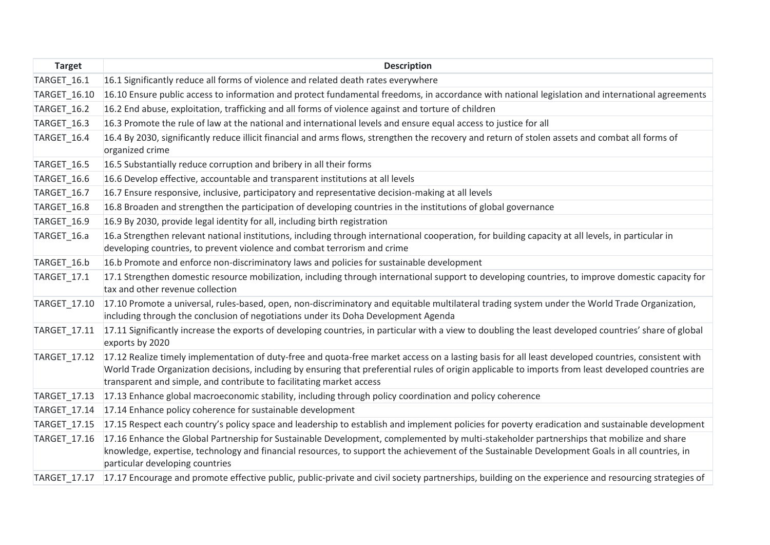| <b>Target</b>       | <b>Description</b>                                                                                                                                                                                                                                                                                                                                                                  |
|---------------------|-------------------------------------------------------------------------------------------------------------------------------------------------------------------------------------------------------------------------------------------------------------------------------------------------------------------------------------------------------------------------------------|
| TARGET_16.1         | 16.1 Significantly reduce all forms of violence and related death rates everywhere                                                                                                                                                                                                                                                                                                  |
| TARGET_16.10        | 16.10 Ensure public access to information and protect fundamental freedoms, in accordance with national legislation and international agreements                                                                                                                                                                                                                                    |
| TARGET_16.2         | 16.2 End abuse, exploitation, trafficking and all forms of violence against and torture of children                                                                                                                                                                                                                                                                                 |
| TARGET_16.3         | 16.3 Promote the rule of law at the national and international levels and ensure equal access to justice for all                                                                                                                                                                                                                                                                    |
| TARGET_16.4         | 16.4 By 2030, significantly reduce illicit financial and arms flows, strengthen the recovery and return of stolen assets and combat all forms of<br>organized crime                                                                                                                                                                                                                 |
| TARGET_16.5         | 16.5 Substantially reduce corruption and bribery in all their forms                                                                                                                                                                                                                                                                                                                 |
| TARGET_16.6         | 16.6 Develop effective, accountable and transparent institutions at all levels                                                                                                                                                                                                                                                                                                      |
| TARGET_16.7         | 16.7 Ensure responsive, inclusive, participatory and representative decision-making at all levels                                                                                                                                                                                                                                                                                   |
| TARGET_16.8         | 16.8 Broaden and strengthen the participation of developing countries in the institutions of global governance                                                                                                                                                                                                                                                                      |
| TARGET_16.9         | 16.9 By 2030, provide legal identity for all, including birth registration                                                                                                                                                                                                                                                                                                          |
| TARGET_16.a         | 16.a Strengthen relevant national institutions, including through international cooperation, for building capacity at all levels, in particular in<br>developing countries, to prevent violence and combat terrorism and crime                                                                                                                                                      |
| TARGET_16.b         | 16.b Promote and enforce non-discriminatory laws and policies for sustainable development                                                                                                                                                                                                                                                                                           |
| TARGET_17.1         | 17.1 Strengthen domestic resource mobilization, including through international support to developing countries, to improve domestic capacity for<br>tax and other revenue collection                                                                                                                                                                                               |
| TARGET_17.10        | 17.10 Promote a universal, rules-based, open, non-discriminatory and equitable multilateral trading system under the World Trade Organization,<br>including through the conclusion of negotiations under its Doha Development Agenda                                                                                                                                                |
| <b>TARGET 17.11</b> | 17.11 Significantly increase the exports of developing countries, in particular with a view to doubling the least developed countries' share of global<br>exports by 2020                                                                                                                                                                                                           |
| TARGET_17.12        | 17.12 Realize timely implementation of duty-free and quota-free market access on a lasting basis for all least developed countries, consistent with<br>World Trade Organization decisions, including by ensuring that preferential rules of origin applicable to imports from least developed countries are<br>transparent and simple, and contribute to facilitating market access |
| TARGET_17.13        | 17.13 Enhance global macroeconomic stability, including through policy coordination and policy coherence                                                                                                                                                                                                                                                                            |
| TARGET_17.14        | 17.14 Enhance policy coherence for sustainable development                                                                                                                                                                                                                                                                                                                          |
| TARGET_17.15        | 17.15 Respect each country's policy space and leadership to establish and implement policies for poverty eradication and sustainable development                                                                                                                                                                                                                                    |
| TARGET_17.16        | 17.16 Enhance the Global Partnership for Sustainable Development, complemented by multi-stakeholder partnerships that mobilize and share<br>knowledge, expertise, technology and financial resources, to support the achievement of the Sustainable Development Goals in all countries, in<br>particular developing countries                                                       |
|                     | TARGET 17.17 17.17 Encourage and promote effective public, public-private and civil society partnerships, building on the experience and resourcing strategies of                                                                                                                                                                                                                   |